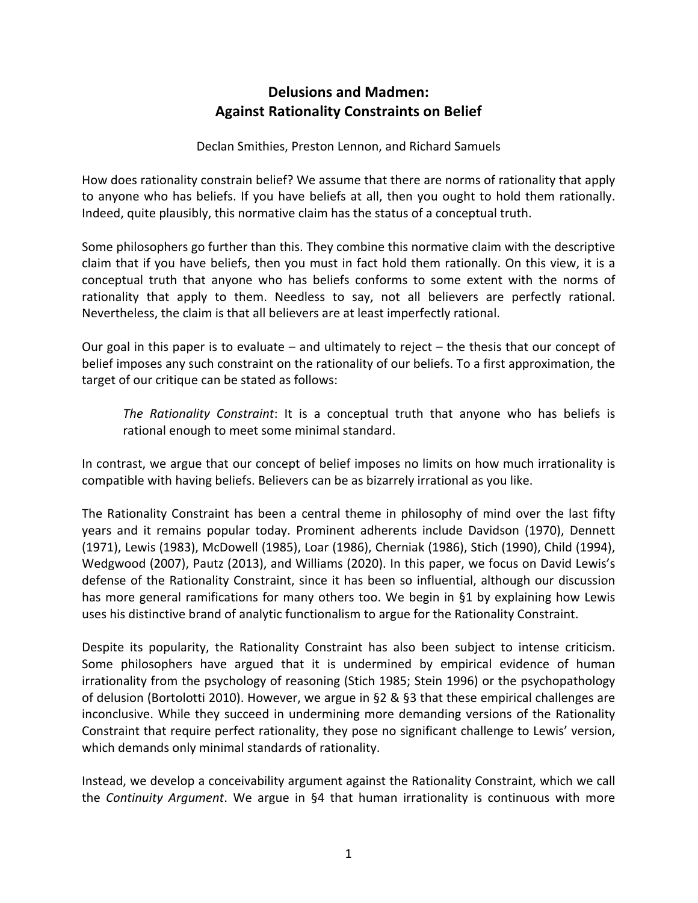# **Delusions and Madmen: Against Rationality Constraints on Belief**

Declan Smithies, Preston Lennon, and Richard Samuels

How does rationality constrain belief? We assume that there are norms of rationality that apply to anyone who has beliefs. If you have beliefs at all, then you ought to hold them rationally. Indeed, quite plausibly, this normative claim has the status of a conceptual truth.

Some philosophers go further than this. They combine this normative claim with the descriptive claim that if you have beliefs, then you must in fact hold them rationally. On this view, it is a conceptual truth that anyone who has beliefs conforms to some extent with the norms of rationality that apply to them. Needless to say, not all believers are perfectly rational. Nevertheless, the claim is that all believers are at least imperfectly rational.

Our goal in this paper is to evaluate – and ultimately to reject – the thesis that our concept of belief imposes any such constraint on the rationality of our beliefs. To a first approximation, the target of our critique can be stated as follows:

*The Rationality Constraint*: It is a conceptual truth that anyone who has beliefs is rational enough to meet some minimal standard.

In contrast, we argue that our concept of belief imposes no limits on how much irrationality is compatible with having beliefs. Believers can be as bizarrely irrational as you like.

The Rationality Constraint has been a central theme in philosophy of mind over the last fifty years and it remains popular today. Prominent adherents include Davidson (1970), Dennett (1971), Lewis (1983), McDowell (1985), Loar (1986), Cherniak (1986), Stich (1990), Child (1994), Wedgwood (2007), Pautz (2013), and Williams (2020). In this paper, we focus on David Lewis's defense of the Rationality Constraint, since it has been so influential, although our discussion has more general ramifications for many others too. We begin in §1 by explaining how Lewis uses his distinctive brand of analytic functionalism to argue for the Rationality Constraint.

Despite its popularity, the Rationality Constraint has also been subject to intense criticism. Some philosophers have argued that it is undermined by empirical evidence of human irrationality from the psychology of reasoning (Stich 1985; Stein 1996) or the psychopathology of delusion (Bortolotti 2010). However, we argue in §2 & §3 that these empirical challenges are inconclusive. While they succeed in undermining more demanding versions of the Rationality Constraint that require perfect rationality, they pose no significant challenge to Lewis' version, which demands only minimal standards of rationality.

Instead, we develop a conceivability argument against the Rationality Constraint, which we call the *Continuity Argument*. We argue in §4 that human irrationality is continuous with more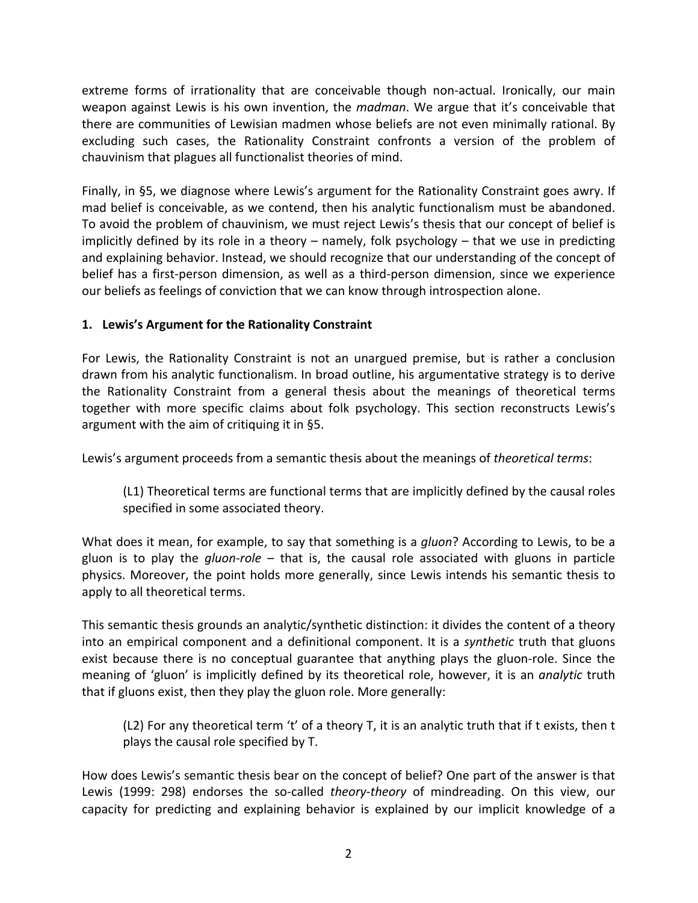extreme forms of irrationality that are conceivable though non-actual. Ironically, our main weapon against Lewis is his own invention, the *madman*. We argue that it's conceivable that there are communities of Lewisian madmen whose beliefs are not even minimally rational. By excluding such cases, the Rationality Constraint confronts a version of the problem of chauvinism that plagues all functionalist theories of mind.

Finally, in §5, we diagnose where Lewis's argument for the Rationality Constraint goes awry. If mad belief is conceivable, as we contend, then his analytic functionalism must be abandoned. To avoid the problem of chauvinism, we must reject Lewis's thesis that our concept of belief is implicitly defined by its role in a theory – namely, folk psychology – that we use in predicting and explaining behavior. Instead, we should recognize that our understanding of the concept of belief has a first-person dimension, as well as a third-person dimension, since we experience our beliefs as feelings of conviction that we can know through introspection alone.

# **1. Lewis's Argument for the Rationality Constraint**

For Lewis, the Rationality Constraint is not an unargued premise, but is rather a conclusion drawn from his analytic functionalism. In broad outline, his argumentative strategy is to derive the Rationality Constraint from a general thesis about the meanings of theoretical terms together with more specific claims about folk psychology. This section reconstructs Lewis's argument with the aim of critiquing it in §5.

Lewis's argument proceeds from a semantic thesis about the meanings of *theoretical terms*:

(L1) Theoretical terms are functional terms that are implicitly defined by the causal roles specified in some associated theory.

What does it mean, for example, to say that something is a *gluon*? According to Lewis, to be a gluon is to play the *gluon-role* – that is, the causal role associated with gluons in particle physics. Moreover, the point holds more generally, since Lewis intends his semantic thesis to apply to all theoretical terms.

This semantic thesis grounds an analytic/synthetic distinction: it divides the content of a theory into an empirical component and a definitional component. It is a *synthetic* truth that gluons exist because there is no conceptual guarantee that anything plays the gluon-role. Since the meaning of 'gluon' is implicitly defined by its theoretical role, however, it is an *analytic* truth that if gluons exist, then they play the gluon role. More generally:

(L2) For any theoretical term 't' of a theory T, it is an analytic truth that if t exists, then t plays the causal role specified by T.

How does Lewis's semantic thesis bear on the concept of belief? One part of the answer is that Lewis (1999: 298) endorses the so-called *theory-theory* of mindreading. On this view, our capacity for predicting and explaining behavior is explained by our implicit knowledge of a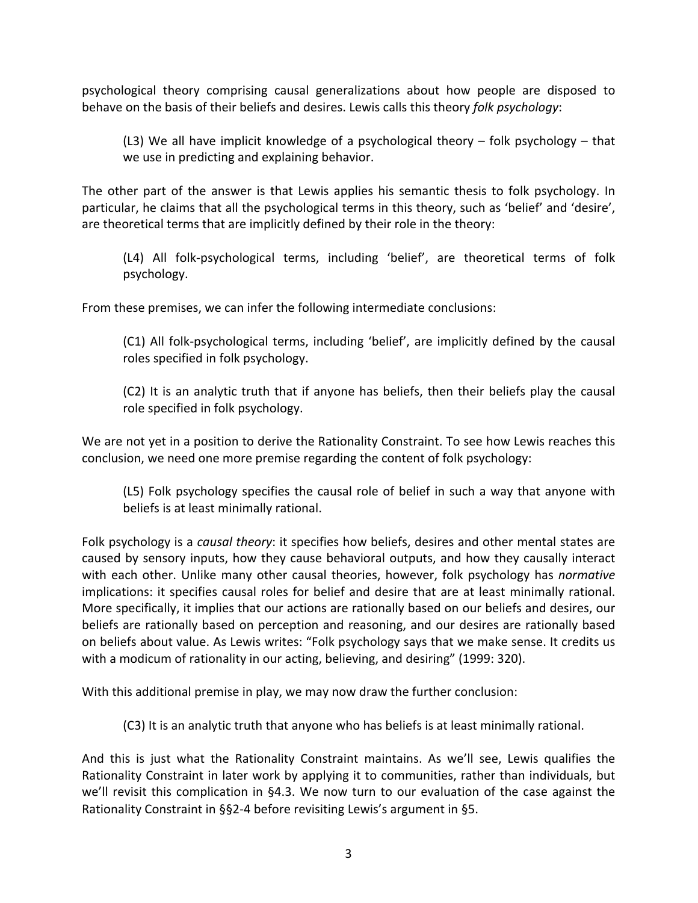psychological theory comprising causal generalizations about how people are disposed to behave on the basis of their beliefs and desires. Lewis calls this theory *folk psychology*:

(L3) We all have implicit knowledge of a psychological theory – folk psychology – that we use in predicting and explaining behavior.

The other part of the answer is that Lewis applies his semantic thesis to folk psychology. In particular, he claims that all the psychological terms in this theory, such as 'belief' and 'desire', are theoretical terms that are implicitly defined by their role in the theory:

(L4) All folk-psychological terms, including 'belief', are theoretical terms of folk psychology.

From these premises, we can infer the following intermediate conclusions:

(C1) All folk-psychological terms, including 'belief', are implicitly defined by the causal roles specified in folk psychology.

(C2) It is an analytic truth that if anyone has beliefs, then their beliefs play the causal role specified in folk psychology.

We are not yet in a position to derive the Rationality Constraint. To see how Lewis reaches this conclusion, we need one more premise regarding the content of folk psychology:

(L5) Folk psychology specifies the causal role of belief in such a way that anyone with beliefs is at least minimally rational.

Folk psychology is a *causal theory*: it specifies how beliefs, desires and other mental states are caused by sensory inputs, how they cause behavioral outputs, and how they causally interact with each other. Unlike many other causal theories, however, folk psychology has *normative* implications: it specifies causal roles for belief and desire that are at least minimally rational. More specifically, it implies that our actions are rationally based on our beliefs and desires, our beliefs are rationally based on perception and reasoning, and our desires are rationally based on beliefs about value. As Lewis writes: "Folk psychology says that we make sense. It credits us with a modicum of rationality in our acting, believing, and desiring" (1999: 320).

With this additional premise in play, we may now draw the further conclusion:

(C3) It is an analytic truth that anyone who has beliefs is at least minimally rational.

And this is just what the Rationality Constraint maintains. As we'll see, Lewis qualifies the Rationality Constraint in later work by applying it to communities, rather than individuals, but we'll revisit this complication in §4.3. We now turn to our evaluation of the case against the Rationality Constraint in §§2-4 before revisiting Lewis's argument in §5.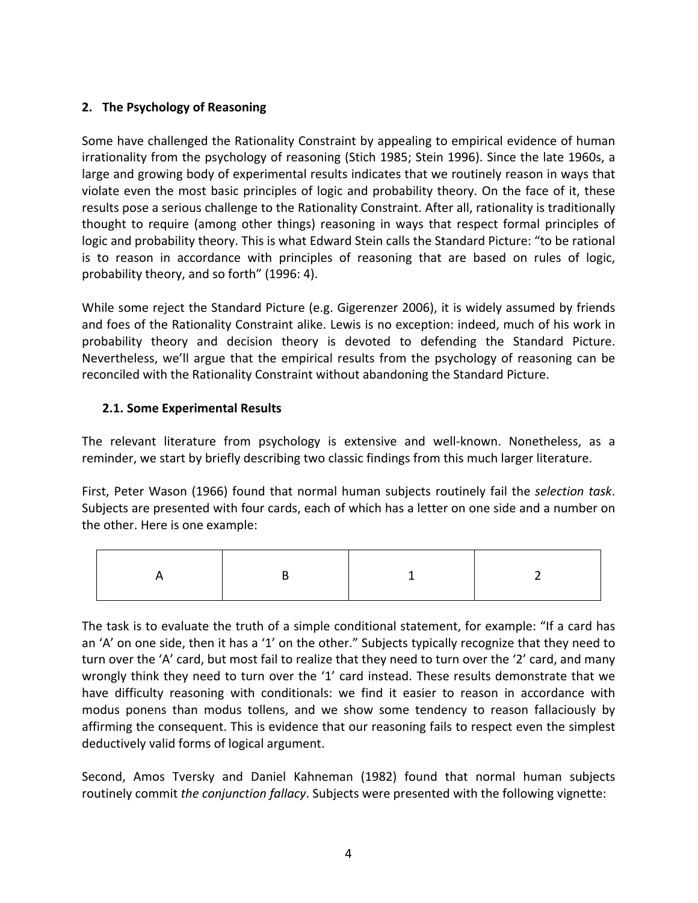# **2. The Psychology of Reasoning**

Some have challenged the Rationality Constraint by appealing to empirical evidence of human irrationality from the psychology of reasoning (Stich 1985; Stein 1996). Since the late 1960s, a large and growing body of experimental results indicates that we routinely reason in ways that violate even the most basic principles of logic and probability theory. On the face of it, these results pose a serious challenge to the Rationality Constraint. After all, rationality is traditionally thought to require (among other things) reasoning in ways that respect formal principles of logic and probability theory. This is what Edward Stein calls the Standard Picture: "to be rational is to reason in accordance with principles of reasoning that are based on rules of logic, probability theory, and so forth" (1996: 4).

While some reject the Standard Picture (e.g. Gigerenzer 2006), it is widely assumed by friends and foes of the Rationality Constraint alike. Lewis is no exception: indeed, much of his work in probability theory and decision theory is devoted to defending the Standard Picture. Nevertheless, we'll argue that the empirical results from the psychology of reasoning can be reconciled with the Rationality Constraint without abandoning the Standard Picture.

# **2.1. Some Experimental Results**

The relevant literature from psychology is extensive and well-known. Nonetheless, as a reminder, we start by briefly describing two classic findings from this much larger literature.

First, Peter Wason (1966) found that normal human subjects routinely fail the *selection task*. Subjects are presented with four cards, each of which has a letter on one side and a number on the other. Here is one example:

The task is to evaluate the truth of a simple conditional statement, for example: "If a card has an 'A' on one side, then it has a '1' on the other." Subjects typically recognize that they need to turn over the 'A' card, but most fail to realize that they need to turn over the '2' card, and many wrongly think they need to turn over the '1' card instead. These results demonstrate that we have difficulty reasoning with conditionals: we find it easier to reason in accordance with modus ponens than modus tollens, and we show some tendency to reason fallaciously by affirming the consequent. This is evidence that our reasoning fails to respect even the simplest deductively valid forms of logical argument.

Second, Amos Tversky and Daniel Kahneman (1982) found that normal human subjects routinely commit *the conjunction fallacy*. Subjects were presented with the following vignette: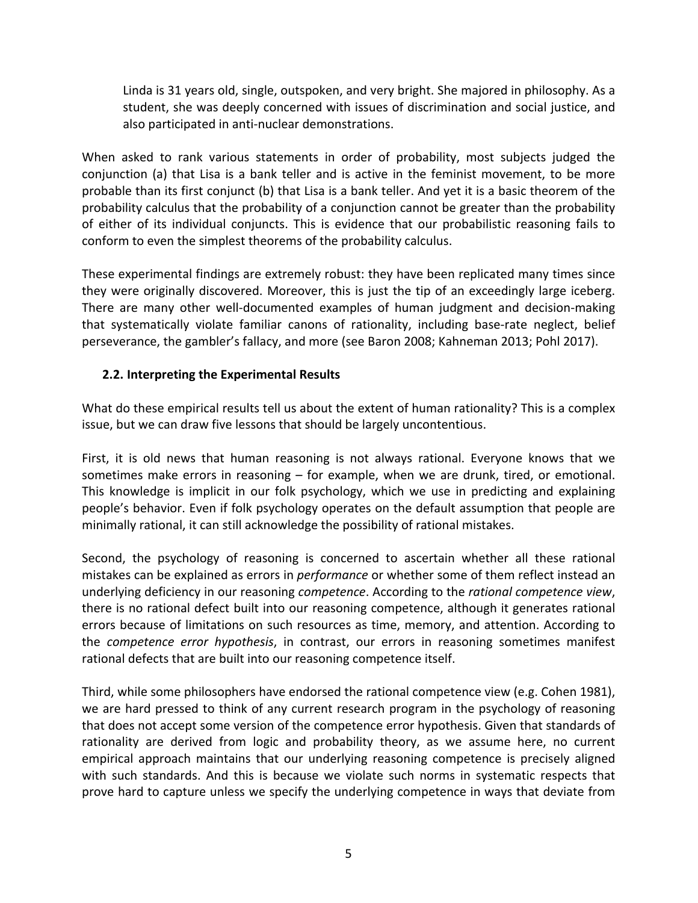Linda is 31 years old, single, outspoken, and very bright. She majored in philosophy. As a student, she was deeply concerned with issues of discrimination and social justice, and also participated in anti-nuclear demonstrations.

When asked to rank various statements in order of probability, most subjects judged the conjunction (a) that Lisa is a bank teller and is active in the feminist movement, to be more probable than its first conjunct (b) that Lisa is a bank teller. And yet it is a basic theorem of the probability calculus that the probability of a conjunction cannot be greater than the probability of either of its individual conjuncts. This is evidence that our probabilistic reasoning fails to conform to even the simplest theorems of the probability calculus.

These experimental findings are extremely robust: they have been replicated many times since they were originally discovered. Moreover, this is just the tip of an exceedingly large iceberg. There are many other well-documented examples of human judgment and decision-making that systematically violate familiar canons of rationality, including base-rate neglect, belief perseverance, the gambler's fallacy, and more (see Baron 2008; Kahneman 2013; Pohl 2017).

# **2.2. Interpreting the Experimental Results**

What do these empirical results tell us about the extent of human rationality? This is a complex issue, but we can draw five lessons that should be largely uncontentious.

First, it is old news that human reasoning is not always rational. Everyone knows that we sometimes make errors in reasoning – for example, when we are drunk, tired, or emotional. This knowledge is implicit in our folk psychology, which we use in predicting and explaining people's behavior. Even if folk psychology operates on the default assumption that people are minimally rational, it can still acknowledge the possibility of rational mistakes.

Second, the psychology of reasoning is concerned to ascertain whether all these rational mistakes can be explained as errors in *performance* or whether some of them reflect instead an underlying deficiency in our reasoning *competence*. According to the *rational competence view*, there is no rational defect built into our reasoning competence, although it generates rational errors because of limitations on such resources as time, memory, and attention. According to the *competence error hypothesis*, in contrast, our errors in reasoning sometimes manifest rational defects that are built into our reasoning competence itself.

Third, while some philosophers have endorsed the rational competence view (e.g. Cohen 1981), we are hard pressed to think of any current research program in the psychology of reasoning that does not accept some version of the competence error hypothesis. Given that standards of rationality are derived from logic and probability theory, as we assume here, no current empirical approach maintains that our underlying reasoning competence is precisely aligned with such standards. And this is because we violate such norms in systematic respects that prove hard to capture unless we specify the underlying competence in ways that deviate from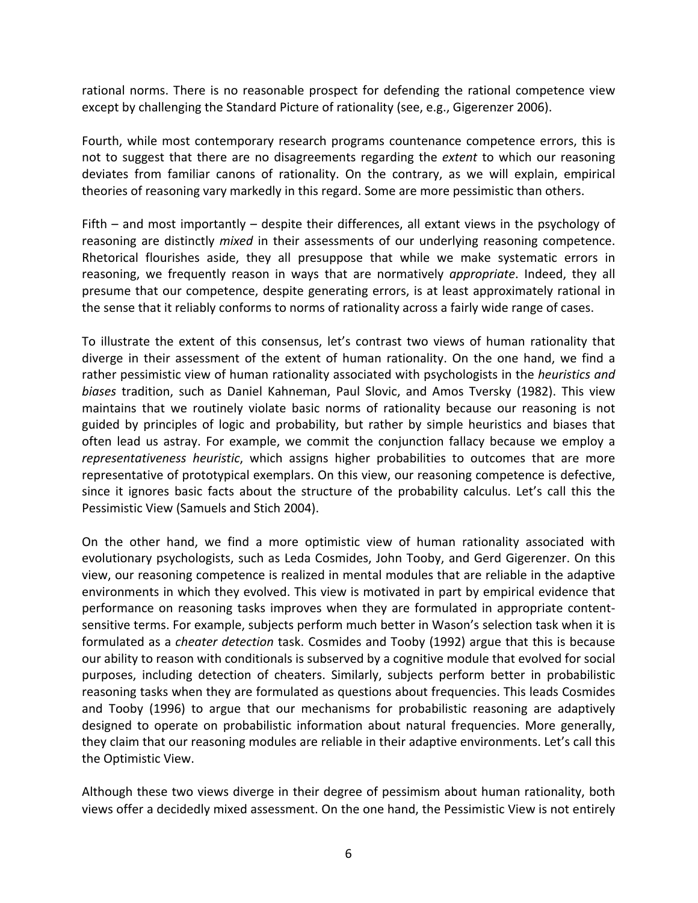rational norms. There is no reasonable prospect for defending the rational competence view except by challenging the Standard Picture of rationality (see, e.g., Gigerenzer 2006).

Fourth, while most contemporary research programs countenance competence errors, this is not to suggest that there are no disagreements regarding the *extent* to which our reasoning deviates from familiar canons of rationality. On the contrary, as we will explain, empirical theories of reasoning vary markedly in this regard. Some are more pessimistic than others.

Fifth – and most importantly – despite their differences, all extant views in the psychology of reasoning are distinctly *mixed* in their assessments of our underlying reasoning competence. Rhetorical flourishes aside, they all presuppose that while we make systematic errors in reasoning, we frequently reason in ways that are normatively *appropriate*. Indeed, they all presume that our competence, despite generating errors, is at least approximately rational in the sense that it reliably conforms to norms of rationality across a fairly wide range of cases.

To illustrate the extent of this consensus, let's contrast two views of human rationality that diverge in their assessment of the extent of human rationality. On the one hand, we find a rather pessimistic view of human rationality associated with psychologists in the *heuristics and biases* tradition, such as Daniel Kahneman, Paul Slovic, and Amos Tversky (1982). This view maintains that we routinely violate basic norms of rationality because our reasoning is not guided by principles of logic and probability, but rather by simple heuristics and biases that often lead us astray. For example, we commit the conjunction fallacy because we employ a *representativeness heuristic*, which assigns higher probabilities to outcomes that are more representative of prototypical exemplars. On this view, our reasoning competence is defective, since it ignores basic facts about the structure of the probability calculus. Let's call this the Pessimistic View (Samuels and Stich 2004).

On the other hand, we find a more optimistic view of human rationality associated with evolutionary psychologists, such as Leda Cosmides, John Tooby, and Gerd Gigerenzer. On this view, our reasoning competence is realized in mental modules that are reliable in the adaptive environments in which they evolved. This view is motivated in part by empirical evidence that performance on reasoning tasks improves when they are formulated in appropriate contentsensitive terms. For example, subjects perform much better in Wason's selection task when it is formulated as a *cheater detection* task. Cosmides and Tooby (1992) argue that this is because our ability to reason with conditionals is subserved by a cognitive module that evolved for social purposes, including detection of cheaters. Similarly, subjects perform better in probabilistic reasoning tasks when they are formulated as questions about frequencies. This leads Cosmides and Tooby (1996) to argue that our mechanisms for probabilistic reasoning are adaptively designed to operate on probabilistic information about natural frequencies. More generally, they claim that our reasoning modules are reliable in their adaptive environments. Let's call this the Optimistic View.

Although these two views diverge in their degree of pessimism about human rationality, both views offer a decidedly mixed assessment. On the one hand, the Pessimistic View is not entirely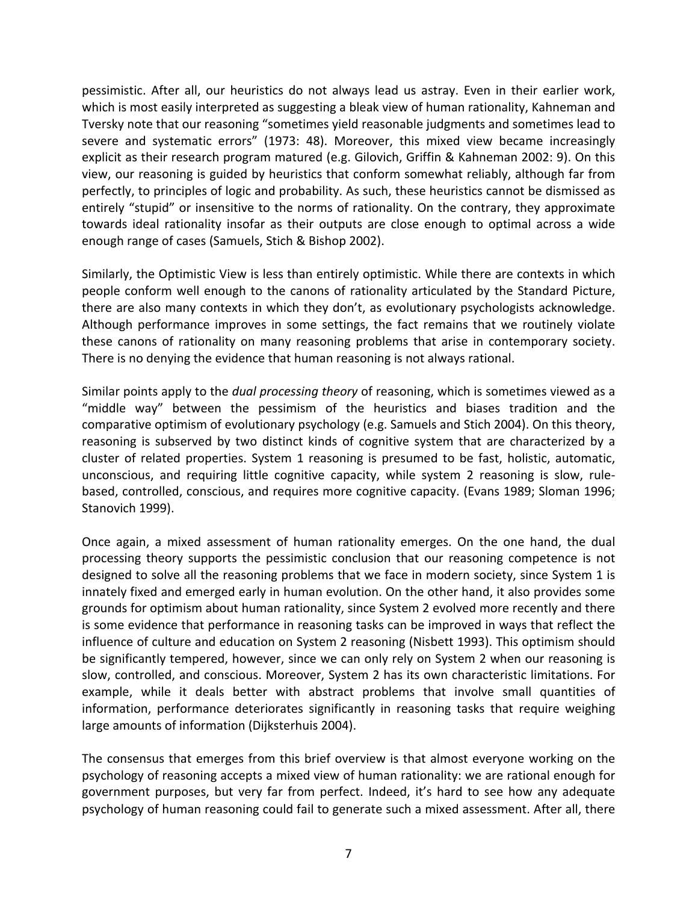pessimistic. After all, our heuristics do not always lead us astray. Even in their earlier work, which is most easily interpreted as suggesting a bleak view of human rationality, Kahneman and Tversky note that our reasoning "sometimes yield reasonable judgments and sometimes lead to severe and systematic errors" (1973: 48). Moreover, this mixed view became increasingly explicit as their research program matured (e.g. Gilovich, Griffin & Kahneman 2002: 9). On this view, our reasoning is guided by heuristics that conform somewhat reliably, although far from perfectly, to principles of logic and probability. As such, these heuristics cannot be dismissed as entirely "stupid" or insensitive to the norms of rationality. On the contrary, they approximate towards ideal rationality insofar as their outputs are close enough to optimal across a wide enough range of cases (Samuels, Stich & Bishop 2002).

Similarly, the Optimistic View is less than entirely optimistic. While there are contexts in which people conform well enough to the canons of rationality articulated by the Standard Picture, there are also many contexts in which they don't, as evolutionary psychologists acknowledge. Although performance improves in some settings, the fact remains that we routinely violate these canons of rationality on many reasoning problems that arise in contemporary society. There is no denying the evidence that human reasoning is not always rational.

Similar points apply to the *dual processing theory* of reasoning, which is sometimes viewed as a "middle way" between the pessimism of the heuristics and biases tradition and the comparative optimism of evolutionary psychology (e.g. Samuels and Stich 2004). On this theory, reasoning is subserved by two distinct kinds of cognitive system that are characterized by a cluster of related properties. System 1 reasoning is presumed to be fast, holistic, automatic, unconscious, and requiring little cognitive capacity, while system 2 reasoning is slow, rulebased, controlled, conscious, and requires more cognitive capacity. (Evans 1989; Sloman 1996; Stanovich 1999).

Once again, a mixed assessment of human rationality emerges. On the one hand, the dual processing theory supports the pessimistic conclusion that our reasoning competence is not designed to solve all the reasoning problems that we face in modern society, since System 1 is innately fixed and emerged early in human evolution. On the other hand, it also provides some grounds for optimism about human rationality, since System 2 evolved more recently and there is some evidence that performance in reasoning tasks can be improved in ways that reflect the influence of culture and education on System 2 reasoning (Nisbett 1993). This optimism should be significantly tempered, however, since we can only rely on System 2 when our reasoning is slow, controlled, and conscious. Moreover, System 2 has its own characteristic limitations. For example, while it deals better with abstract problems that involve small quantities of information, performance deteriorates significantly in reasoning tasks that require weighing large amounts of information (Dijksterhuis 2004).

The consensus that emerges from this brief overview is that almost everyone working on the psychology of reasoning accepts a mixed view of human rationality: we are rational enough for government purposes, but very far from perfect. Indeed, it's hard to see how any adequate psychology of human reasoning could fail to generate such a mixed assessment. After all, there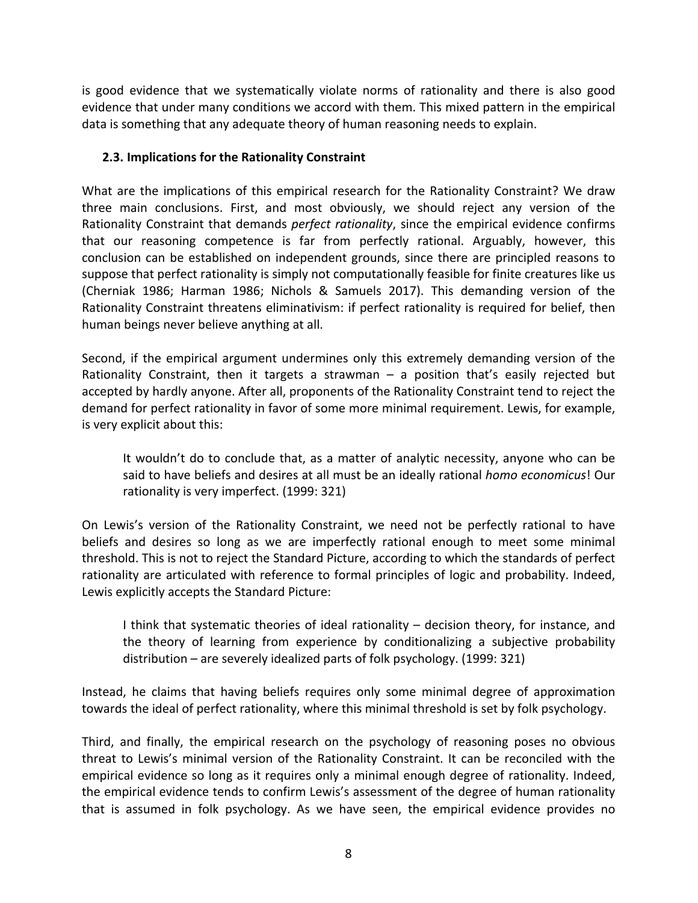is good evidence that we systematically violate norms of rationality and there is also good evidence that under many conditions we accord with them. This mixed pattern in the empirical data is something that any adequate theory of human reasoning needs to explain.

### **2.3. Implications for the Rationality Constraint**

What are the implications of this empirical research for the Rationality Constraint? We draw three main conclusions. First, and most obviously, we should reject any version of the Rationality Constraint that demands *perfect rationality*, since the empirical evidence confirms that our reasoning competence is far from perfectly rational. Arguably, however, this conclusion can be established on independent grounds, since there are principled reasons to suppose that perfect rationality is simply not computationally feasible for finite creatures like us (Cherniak 1986; Harman 1986; Nichols & Samuels 2017). This demanding version of the Rationality Constraint threatens eliminativism: if perfect rationality is required for belief, then human beings never believe anything at all.

Second, if the empirical argument undermines only this extremely demanding version of the Rationality Constraint, then it targets a strawman – a position that's easily rejected but accepted by hardly anyone. After all, proponents of the Rationality Constraint tend to reject the demand for perfect rationality in favor of some more minimal requirement. Lewis, for example, is very explicit about this:

It wouldn't do to conclude that, as a matter of analytic necessity, anyone who can be said to have beliefs and desires at all must be an ideally rational *homo economicus*! Our rationality is very imperfect. (1999: 321)

On Lewis's version of the Rationality Constraint, we need not be perfectly rational to have beliefs and desires so long as we are imperfectly rational enough to meet some minimal threshold. This is not to reject the Standard Picture, according to which the standards of perfect rationality are articulated with reference to formal principles of logic and probability. Indeed, Lewis explicitly accepts the Standard Picture:

I think that systematic theories of ideal rationality – decision theory, for instance, and the theory of learning from experience by conditionalizing a subjective probability distribution – are severely idealized parts of folk psychology. (1999: 321)

Instead, he claims that having beliefs requires only some minimal degree of approximation towards the ideal of perfect rationality, where this minimal threshold is set by folk psychology.

Third, and finally, the empirical research on the psychology of reasoning poses no obvious threat to Lewis's minimal version of the Rationality Constraint. It can be reconciled with the empirical evidence so long as it requires only a minimal enough degree of rationality. Indeed, the empirical evidence tends to confirm Lewis's assessment of the degree of human rationality that is assumed in folk psychology. As we have seen, the empirical evidence provides no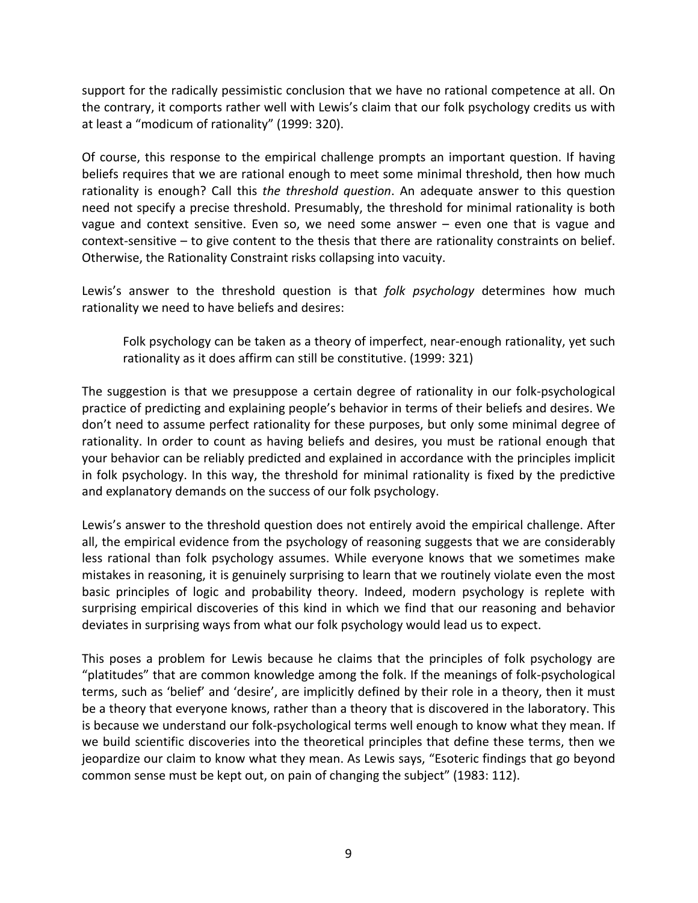support for the radically pessimistic conclusion that we have no rational competence at all. On the contrary, it comports rather well with Lewis's claim that our folk psychology credits us with at least a "modicum of rationality" (1999: 320).

Of course, this response to the empirical challenge prompts an important question. If having beliefs requires that we are rational enough to meet some minimal threshold, then how much rationality is enough? Call this *the threshold question*. An adequate answer to this question need not specify a precise threshold. Presumably, the threshold for minimal rationality is both vague and context sensitive. Even so, we need some answer  $-$  even one that is vague and context-sensitive – to give content to the thesis that there are rationality constraints on belief. Otherwise, the Rationality Constraint risks collapsing into vacuity.

Lewis's answer to the threshold question is that *folk psychology* determines how much rationality we need to have beliefs and desires:

Folk psychology can be taken as a theory of imperfect, near-enough rationality, yet such rationality as it does affirm can still be constitutive. (1999: 321)

The suggestion is that we presuppose a certain degree of rationality in our folk-psychological practice of predicting and explaining people's behavior in terms of their beliefs and desires. We don't need to assume perfect rationality for these purposes, but only some minimal degree of rationality. In order to count as having beliefs and desires, you must be rational enough that your behavior can be reliably predicted and explained in accordance with the principles implicit in folk psychology. In this way, the threshold for minimal rationality is fixed by the predictive and explanatory demands on the success of our folk psychology.

Lewis's answer to the threshold question does not entirely avoid the empirical challenge. After all, the empirical evidence from the psychology of reasoning suggests that we are considerably less rational than folk psychology assumes. While everyone knows that we sometimes make mistakes in reasoning, it is genuinely surprising to learn that we routinely violate even the most basic principles of logic and probability theory. Indeed, modern psychology is replete with surprising empirical discoveries of this kind in which we find that our reasoning and behavior deviates in surprising ways from what our folk psychology would lead us to expect.

This poses a problem for Lewis because he claims that the principles of folk psychology are "platitudes" that are common knowledge among the folk. If the meanings of folk-psychological terms, such as 'belief' and 'desire', are implicitly defined by their role in a theory, then it must be a theory that everyone knows, rather than a theory that is discovered in the laboratory. This is because we understand our folk-psychological terms well enough to know what they mean. If we build scientific discoveries into the theoretical principles that define these terms, then we jeopardize our claim to know what they mean. As Lewis says, "Esoteric findings that go beyond common sense must be kept out, on pain of changing the subject" (1983: 112).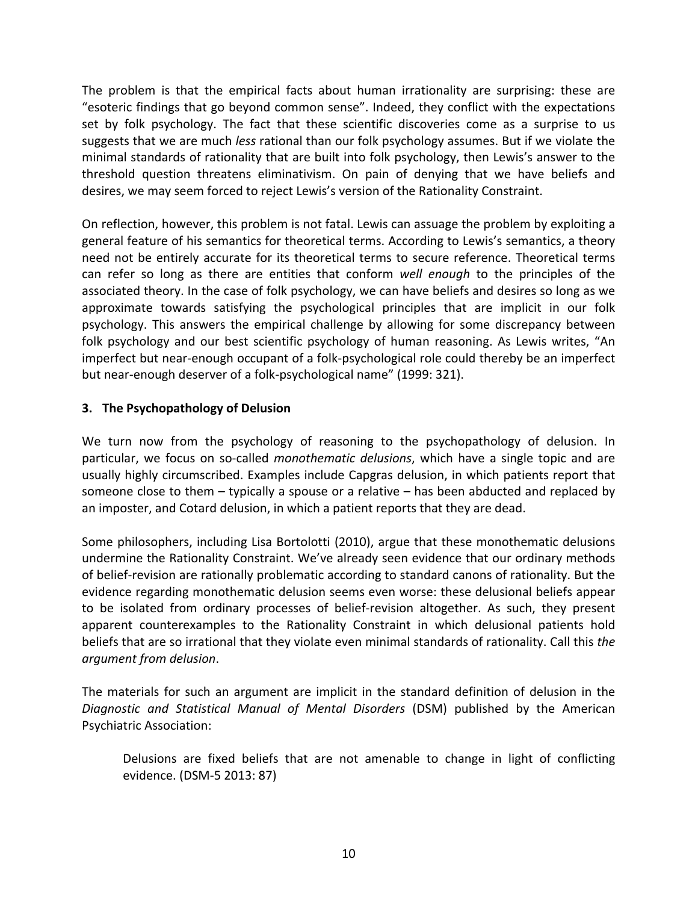The problem is that the empirical facts about human irrationality are surprising: these are "esoteric findings that go beyond common sense". Indeed, they conflict with the expectations set by folk psychology. The fact that these scientific discoveries come as a surprise to us suggests that we are much *less* rational than our folk psychology assumes. But if we violate the minimal standards of rationality that are built into folk psychology, then Lewis's answer to the threshold question threatens eliminativism. On pain of denying that we have beliefs and desires, we may seem forced to reject Lewis's version of the Rationality Constraint.

On reflection, however, this problem is not fatal. Lewis can assuage the problem by exploiting a general feature of his semantics for theoretical terms. According to Lewis's semantics, a theory need not be entirely accurate for its theoretical terms to secure reference. Theoretical terms can refer so long as there are entities that conform *well enough* to the principles of the associated theory. In the case of folk psychology, we can have beliefs and desires so long as we approximate towards satisfying the psychological principles that are implicit in our folk psychology. This answers the empirical challenge by allowing for some discrepancy between folk psychology and our best scientific psychology of human reasoning. As Lewis writes, "An imperfect but near-enough occupant of a folk-psychological role could thereby be an imperfect but near-enough deserver of a folk-psychological name" (1999: 321).

# **3. The Psychopathology of Delusion**

We turn now from the psychology of reasoning to the psychopathology of delusion. In particular, we focus on so-called *monothematic delusions*, which have a single topic and are usually highly circumscribed. Examples include Capgras delusion, in which patients report that someone close to them – typically a spouse or a relative – has been abducted and replaced by an imposter, and Cotard delusion, in which a patient reports that they are dead.

Some philosophers, including Lisa Bortolotti (2010), argue that these monothematic delusions undermine the Rationality Constraint. We've already seen evidence that our ordinary methods of belief-revision are rationally problematic according to standard canons of rationality. But the evidence regarding monothematic delusion seems even worse: these delusional beliefs appear to be isolated from ordinary processes of belief-revision altogether. As such, they present apparent counterexamples to the Rationality Constraint in which delusional patients hold beliefs that are so irrational that they violate even minimal standards of rationality. Call this *the argument from delusion*.

The materials for such an argument are implicit in the standard definition of delusion in the *Diagnostic and Statistical Manual of Mental Disorders* (DSM) published by the American Psychiatric Association:

Delusions are fixed beliefs that are not amenable to change in light of conflicting evidence. (DSM-5 2013: 87)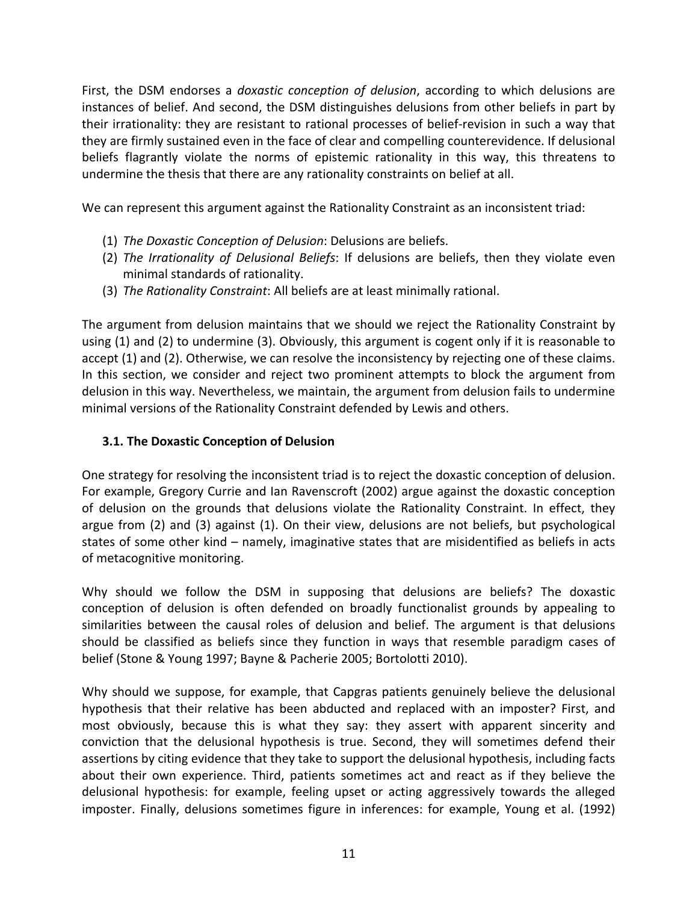First, the DSM endorses a *doxastic conception of delusion*, according to which delusions are instances of belief. And second, the DSM distinguishes delusions from other beliefs in part by their irrationality: they are resistant to rational processes of belief-revision in such a way that they are firmly sustained even in the face of clear and compelling counterevidence. If delusional beliefs flagrantly violate the norms of epistemic rationality in this way, this threatens to undermine the thesis that there are any rationality constraints on belief at all.

We can represent this argument against the Rationality Constraint as an inconsistent triad:

- (1) *The Doxastic Conception of Delusion*: Delusions are beliefs.
- (2) *The Irrationality of Delusional Beliefs*: If delusions are beliefs, then they violate even minimal standards of rationality.
- (3) *The Rationality Constraint*: All beliefs are at least minimally rational.

The argument from delusion maintains that we should we reject the Rationality Constraint by using (1) and (2) to undermine (3). Obviously, this argument is cogent only if it is reasonable to accept (1) and (2). Otherwise, we can resolve the inconsistency by rejecting one of these claims. In this section, we consider and reject two prominent attempts to block the argument from delusion in this way. Nevertheless, we maintain, the argument from delusion fails to undermine minimal versions of the Rationality Constraint defended by Lewis and others.

# **3.1. The Doxastic Conception of Delusion**

One strategy for resolving the inconsistent triad is to reject the doxastic conception of delusion. For example, Gregory Currie and Ian Ravenscroft (2002) argue against the doxastic conception of delusion on the grounds that delusions violate the Rationality Constraint. In effect, they argue from (2) and (3) against (1). On their view, delusions are not beliefs, but psychological states of some other kind – namely, imaginative states that are misidentified as beliefs in acts of metacognitive monitoring.

Why should we follow the DSM in supposing that delusions are beliefs? The doxastic conception of delusion is often defended on broadly functionalist grounds by appealing to similarities between the causal roles of delusion and belief. The argument is that delusions should be classified as beliefs since they function in ways that resemble paradigm cases of belief (Stone & Young 1997; Bayne & Pacherie 2005; Bortolotti 2010).

Why should we suppose, for example, that Capgras patients genuinely believe the delusional hypothesis that their relative has been abducted and replaced with an imposter? First, and most obviously, because this is what they say: they assert with apparent sincerity and conviction that the delusional hypothesis is true. Second, they will sometimes defend their assertions by citing evidence that they take to support the delusional hypothesis, including facts about their own experience. Third, patients sometimes act and react as if they believe the delusional hypothesis: for example, feeling upset or acting aggressively towards the alleged imposter. Finally, delusions sometimes figure in inferences: for example, Young et al. (1992)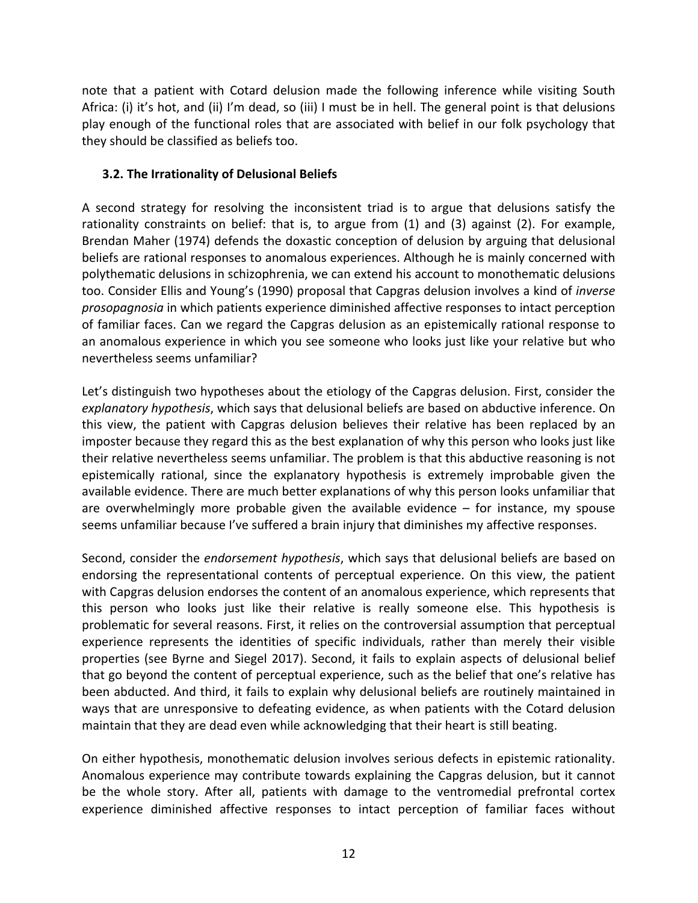note that a patient with Cotard delusion made the following inference while visiting South Africa: (i) it's hot, and (ii) I'm dead, so (iii) I must be in hell. The general point is that delusions play enough of the functional roles that are associated with belief in our folk psychology that they should be classified as beliefs too.

# **3.2. The Irrationality of Delusional Beliefs**

A second strategy for resolving the inconsistent triad is to argue that delusions satisfy the rationality constraints on belief: that is, to argue from (1) and (3) against (2). For example, Brendan Maher (1974) defends the doxastic conception of delusion by arguing that delusional beliefs are rational responses to anomalous experiences. Although he is mainly concerned with polythematic delusions in schizophrenia, we can extend his account to monothematic delusions too. Consider Ellis and Young's (1990) proposal that Capgras delusion involves a kind of *inverse prosopagnosia* in which patients experience diminished affective responses to intact perception of familiar faces. Can we regard the Capgras delusion as an epistemically rational response to an anomalous experience in which you see someone who looks just like your relative but who nevertheless seems unfamiliar?

Let's distinguish two hypotheses about the etiology of the Capgras delusion. First, consider the *explanatory hypothesis*, which says that delusional beliefs are based on abductive inference. On this view, the patient with Capgras delusion believes their relative has been replaced by an imposter because they regard this as the best explanation of why this person who looks just like their relative nevertheless seems unfamiliar. The problem is that this abductive reasoning is not epistemically rational, since the explanatory hypothesis is extremely improbable given the available evidence. There are much better explanations of why this person looks unfamiliar that are overwhelmingly more probable given the available evidence  $-$  for instance, my spouse seems unfamiliar because I've suffered a brain injury that diminishes my affective responses.

Second, consider the *endorsement hypothesis*, which says that delusional beliefs are based on endorsing the representational contents of perceptual experience. On this view, the patient with Capgras delusion endorses the content of an anomalous experience, which represents that this person who looks just like their relative is really someone else. This hypothesis is problematic for several reasons. First, it relies on the controversial assumption that perceptual experience represents the identities of specific individuals, rather than merely their visible properties (see Byrne and Siegel 2017). Second, it fails to explain aspects of delusional belief that go beyond the content of perceptual experience, such as the belief that one's relative has been abducted. And third, it fails to explain why delusional beliefs are routinely maintained in ways that are unresponsive to defeating evidence, as when patients with the Cotard delusion maintain that they are dead even while acknowledging that their heart is still beating.

On either hypothesis, monothematic delusion involves serious defects in epistemic rationality. Anomalous experience may contribute towards explaining the Capgras delusion, but it cannot be the whole story. After all, patients with damage to the ventromedial prefrontal cortex experience diminished affective responses to intact perception of familiar faces without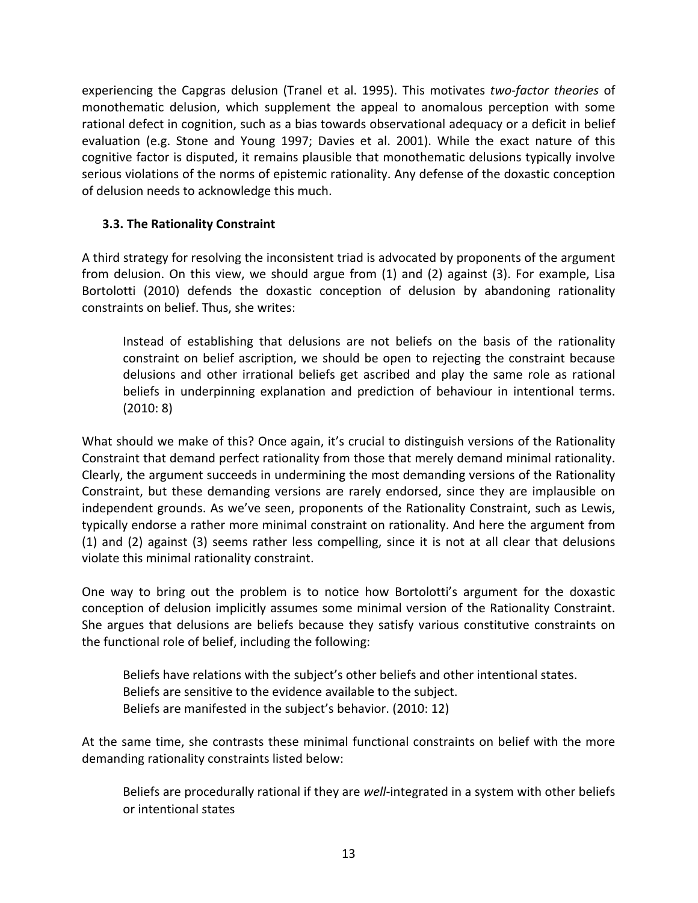experiencing the Capgras delusion (Tranel et al. 1995). This motivates *two-factor theories* of monothematic delusion, which supplement the appeal to anomalous perception with some rational defect in cognition, such as a bias towards observational adequacy or a deficit in belief evaluation (e.g. Stone and Young 1997; Davies et al. 2001). While the exact nature of this cognitive factor is disputed, it remains plausible that monothematic delusions typically involve serious violations of the norms of epistemic rationality. Any defense of the doxastic conception of delusion needs to acknowledge this much.

# **3.3. The Rationality Constraint**

A third strategy for resolving the inconsistent triad is advocated by proponents of the argument from delusion. On this view, we should argue from (1) and (2) against (3). For example, Lisa Bortolotti (2010) defends the doxastic conception of delusion by abandoning rationality constraints on belief. Thus, she writes:

Instead of establishing that delusions are not beliefs on the basis of the rationality constraint on belief ascription, we should be open to rejecting the constraint because delusions and other irrational beliefs get ascribed and play the same role as rational beliefs in underpinning explanation and prediction of behaviour in intentional terms. (2010: 8)

What should we make of this? Once again, it's crucial to distinguish versions of the Rationality Constraint that demand perfect rationality from those that merely demand minimal rationality. Clearly, the argument succeeds in undermining the most demanding versions of the Rationality Constraint, but these demanding versions are rarely endorsed, since they are implausible on independent grounds. As we've seen, proponents of the Rationality Constraint, such as Lewis, typically endorse a rather more minimal constraint on rationality. And here the argument from (1) and (2) against (3) seems rather less compelling, since it is not at all clear that delusions violate this minimal rationality constraint.

One way to bring out the problem is to notice how Bortolotti's argument for the doxastic conception of delusion implicitly assumes some minimal version of the Rationality Constraint. She argues that delusions are beliefs because they satisfy various constitutive constraints on the functional role of belief, including the following:

Beliefs have relations with the subject's other beliefs and other intentional states. Beliefs are sensitive to the evidence available to the subject. Beliefs are manifested in the subject's behavior. (2010: 12)

At the same time, she contrasts these minimal functional constraints on belief with the more demanding rationality constraints listed below:

Beliefs are procedurally rational if they are *well*-integrated in a system with other beliefs or intentional states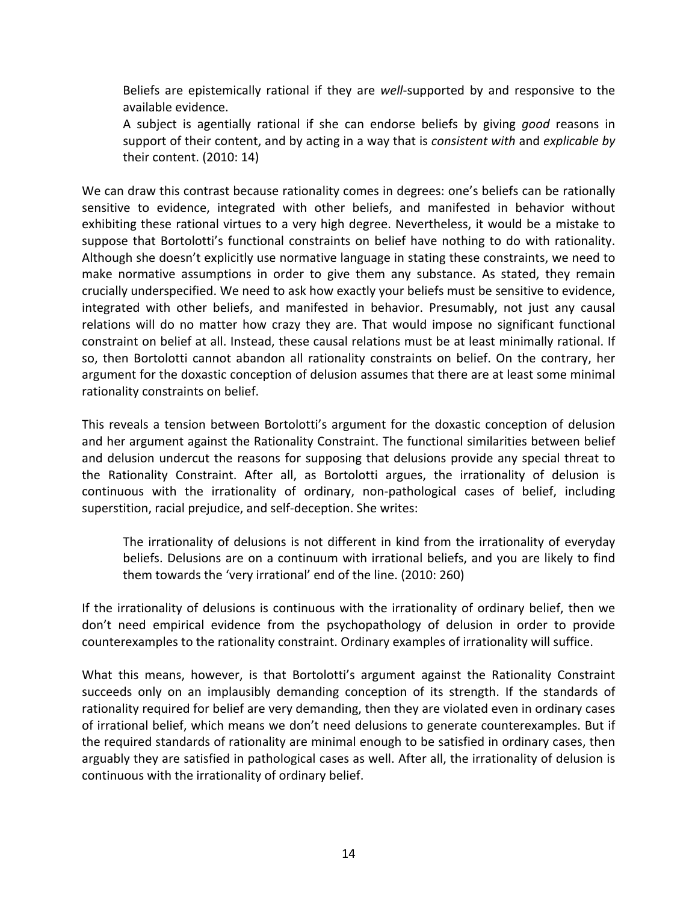Beliefs are epistemically rational if they are *well*-supported by and responsive to the available evidence.

A subject is agentially rational if she can endorse beliefs by giving *good* reasons in support of their content, and by acting in a way that is *consistent with* and *explicable by* their content. (2010: 14)

We can draw this contrast because rationality comes in degrees: one's beliefs can be rationally sensitive to evidence, integrated with other beliefs, and manifested in behavior without exhibiting these rational virtues to a very high degree. Nevertheless, it would be a mistake to suppose that Bortolotti's functional constraints on belief have nothing to do with rationality. Although she doesn't explicitly use normative language in stating these constraints, we need to make normative assumptions in order to give them any substance. As stated, they remain crucially underspecified. We need to ask how exactly your beliefs must be sensitive to evidence, integrated with other beliefs, and manifested in behavior. Presumably, not just any causal relations will do no matter how crazy they are. That would impose no significant functional constraint on belief at all. Instead, these causal relations must be at least minimally rational. If so, then Bortolotti cannot abandon all rationality constraints on belief. On the contrary, her argument for the doxastic conception of delusion assumes that there are at least some minimal rationality constraints on belief.

This reveals a tension between Bortolotti's argument for the doxastic conception of delusion and her argument against the Rationality Constraint. The functional similarities between belief and delusion undercut the reasons for supposing that delusions provide any special threat to the Rationality Constraint. After all, as Bortolotti argues, the irrationality of delusion is continuous with the irrationality of ordinary, non-pathological cases of belief, including superstition, racial prejudice, and self-deception. She writes:

The irrationality of delusions is not different in kind from the irrationality of everyday beliefs. Delusions are on a continuum with irrational beliefs, and you are likely to find them towards the 'very irrational' end of the line. (2010: 260)

If the irrationality of delusions is continuous with the irrationality of ordinary belief, then we don't need empirical evidence from the psychopathology of delusion in order to provide counterexamples to the rationality constraint. Ordinary examples of irrationality will suffice.

What this means, however, is that Bortolotti's argument against the Rationality Constraint succeeds only on an implausibly demanding conception of its strength. If the standards of rationality required for belief are very demanding, then they are violated even in ordinary cases of irrational belief, which means we don't need delusions to generate counterexamples. But if the required standards of rationality are minimal enough to be satisfied in ordinary cases, then arguably they are satisfied in pathological cases as well. After all, the irrationality of delusion is continuous with the irrationality of ordinary belief.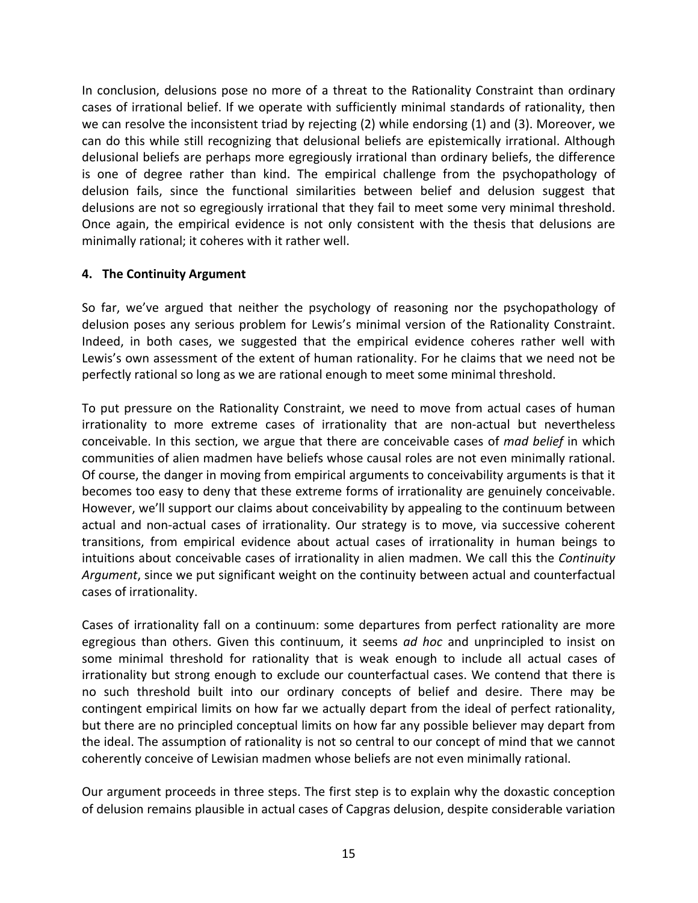In conclusion, delusions pose no more of a threat to the Rationality Constraint than ordinary cases of irrational belief. If we operate with sufficiently minimal standards of rationality, then we can resolve the inconsistent triad by rejecting (2) while endorsing (1) and (3). Moreover, we can do this while still recognizing that delusional beliefs are epistemically irrational. Although delusional beliefs are perhaps more egregiously irrational than ordinary beliefs, the difference is one of degree rather than kind. The empirical challenge from the psychopathology of delusion fails, since the functional similarities between belief and delusion suggest that delusions are not so egregiously irrational that they fail to meet some very minimal threshold. Once again, the empirical evidence is not only consistent with the thesis that delusions are minimally rational; it coheres with it rather well.

#### **4. The Continuity Argument**

So far, we've argued that neither the psychology of reasoning nor the psychopathology of delusion poses any serious problem for Lewis's minimal version of the Rationality Constraint. Indeed, in both cases, we suggested that the empirical evidence coheres rather well with Lewis's own assessment of the extent of human rationality. For he claims that we need not be perfectly rational so long as we are rational enough to meet some minimal threshold.

To put pressure on the Rationality Constraint, we need to move from actual cases of human irrationality to more extreme cases of irrationality that are non-actual but nevertheless conceivable. In this section, we argue that there are conceivable cases of *mad belief* in which communities of alien madmen have beliefs whose causal roles are not even minimally rational. Of course, the danger in moving from empirical arguments to conceivability arguments is that it becomes too easy to deny that these extreme forms of irrationality are genuinely conceivable. However, we'll support our claims about conceivability by appealing to the continuum between actual and non-actual cases of irrationality. Our strategy is to move, via successive coherent transitions, from empirical evidence about actual cases of irrationality in human beings to intuitions about conceivable cases of irrationality in alien madmen. We call this the *Continuity Argument*, since we put significant weight on the continuity between actual and counterfactual cases of irrationality.

Cases of irrationality fall on a continuum: some departures from perfect rationality are more egregious than others. Given this continuum, it seems *ad hoc* and unprincipled to insist on some minimal threshold for rationality that is weak enough to include all actual cases of irrationality but strong enough to exclude our counterfactual cases. We contend that there is no such threshold built into our ordinary concepts of belief and desire. There may be contingent empirical limits on how far we actually depart from the ideal of perfect rationality, but there are no principled conceptual limits on how far any possible believer may depart from the ideal. The assumption of rationality is not so central to our concept of mind that we cannot coherently conceive of Lewisian madmen whose beliefs are not even minimally rational.

Our argument proceeds in three steps. The first step is to explain why the doxastic conception of delusion remains plausible in actual cases of Capgras delusion, despite considerable variation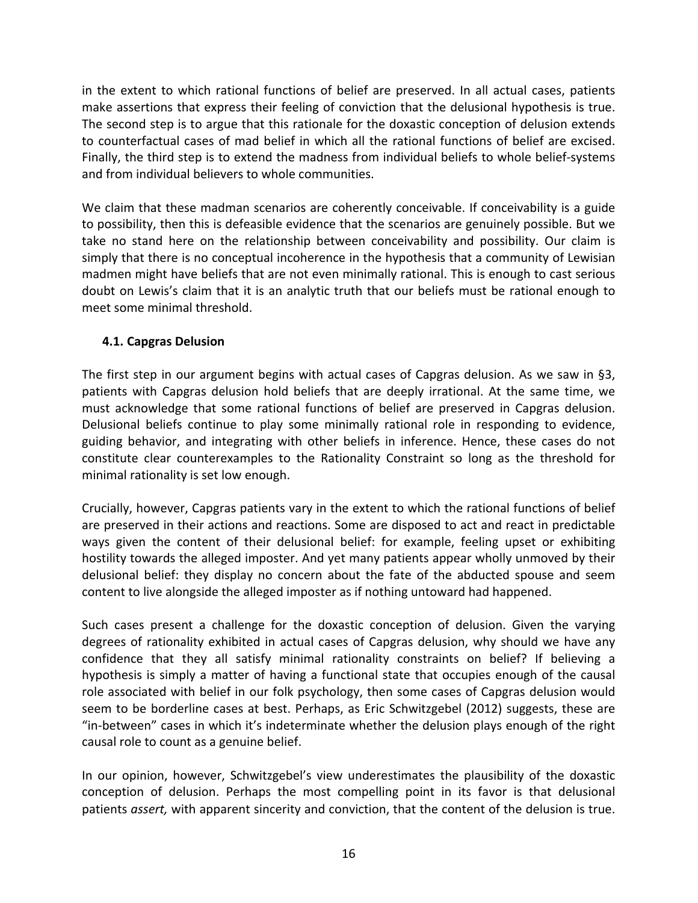in the extent to which rational functions of belief are preserved. In all actual cases, patients make assertions that express their feeling of conviction that the delusional hypothesis is true. The second step is to argue that this rationale for the doxastic conception of delusion extends to counterfactual cases of mad belief in which all the rational functions of belief are excised. Finally, the third step is to extend the madness from individual beliefs to whole belief-systems and from individual believers to whole communities.

We claim that these madman scenarios are coherently conceivable. If conceivability is a guide to possibility, then this is defeasible evidence that the scenarios are genuinely possible. But we take no stand here on the relationship between conceivability and possibility. Our claim is simply that there is no conceptual incoherence in the hypothesis that a community of Lewisian madmen might have beliefs that are not even minimally rational. This is enough to cast serious doubt on Lewis's claim that it is an analytic truth that our beliefs must be rational enough to meet some minimal threshold.

# **4.1. Capgras Delusion**

The first step in our argument begins with actual cases of Capgras delusion. As we saw in §3, patients with Capgras delusion hold beliefs that are deeply irrational. At the same time, we must acknowledge that some rational functions of belief are preserved in Capgras delusion. Delusional beliefs continue to play some minimally rational role in responding to evidence, guiding behavior, and integrating with other beliefs in inference. Hence, these cases do not constitute clear counterexamples to the Rationality Constraint so long as the threshold for minimal rationality is set low enough.

Crucially, however, Capgras patients vary in the extent to which the rational functions of belief are preserved in their actions and reactions. Some are disposed to act and react in predictable ways given the content of their delusional belief: for example, feeling upset or exhibiting hostility towards the alleged imposter. And yet many patients appear wholly unmoved by their delusional belief: they display no concern about the fate of the abducted spouse and seem content to live alongside the alleged imposter as if nothing untoward had happened.

Such cases present a challenge for the doxastic conception of delusion. Given the varying degrees of rationality exhibited in actual cases of Capgras delusion, why should we have any confidence that they all satisfy minimal rationality constraints on belief? If believing a hypothesis is simply a matter of having a functional state that occupies enough of the causal role associated with belief in our folk psychology, then some cases of Capgras delusion would seem to be borderline cases at best. Perhaps, as Eric Schwitzgebel (2012) suggests, these are "in-between" cases in which it's indeterminate whether the delusion plays enough of the right causal role to count as a genuine belief.

In our opinion, however, Schwitzgebel's view underestimates the plausibility of the doxastic conception of delusion. Perhaps the most compelling point in its favor is that delusional patients *assert,* with apparent sincerity and conviction, that the content of the delusion is true.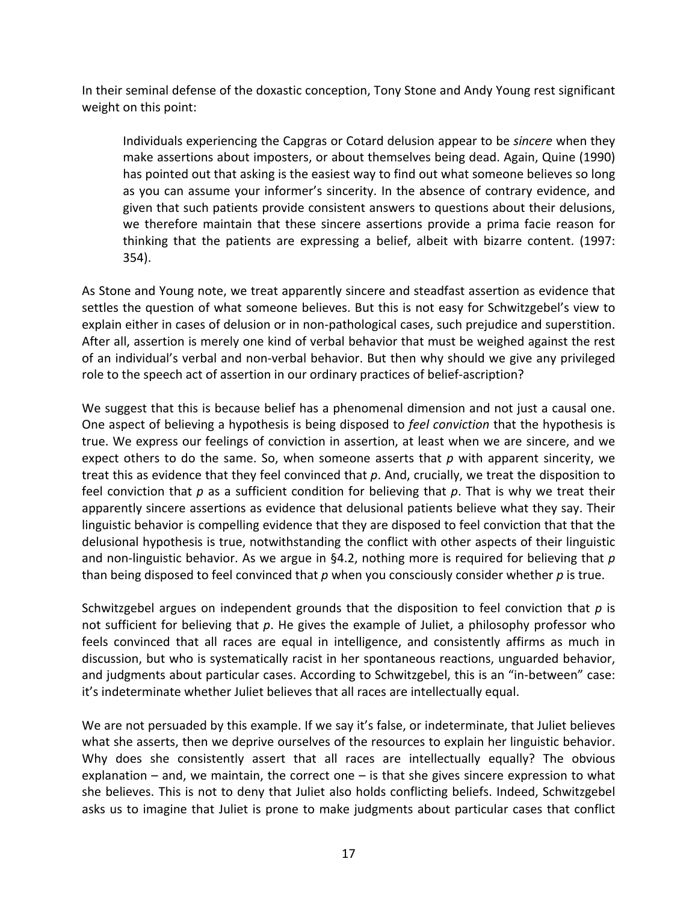In their seminal defense of the doxastic conception, Tony Stone and Andy Young rest significant weight on this point:

Individuals experiencing the Capgras or Cotard delusion appear to be *sincere* when they make assertions about imposters, or about themselves being dead. Again, Quine (1990) has pointed out that asking is the easiest way to find out what someone believes so long as you can assume your informer's sincerity. In the absence of contrary evidence, and given that such patients provide consistent answers to questions about their delusions, we therefore maintain that these sincere assertions provide a prima facie reason for thinking that the patients are expressing a belief, albeit with bizarre content. (1997: 354).

As Stone and Young note, we treat apparently sincere and steadfast assertion as evidence that settles the question of what someone believes. But this is not easy for Schwitzgebel's view to explain either in cases of delusion or in non-pathological cases, such prejudice and superstition. After all, assertion is merely one kind of verbal behavior that must be weighed against the rest of an individual's verbal and non-verbal behavior. But then why should we give any privileged role to the speech act of assertion in our ordinary practices of belief-ascription?

We suggest that this is because belief has a phenomenal dimension and not just a causal one. One aspect of believing a hypothesis is being disposed to *feel conviction* that the hypothesis is true. We express our feelings of conviction in assertion, at least when we are sincere, and we expect others to do the same. So, when someone asserts that *p* with apparent sincerity, we treat this as evidence that they feel convinced that *p*. And, crucially, we treat the disposition to feel conviction that *p* as a sufficient condition for believing that *p*. That is why we treat their apparently sincere assertions as evidence that delusional patients believe what they say. Their linguistic behavior is compelling evidence that they are disposed to feel conviction that that the delusional hypothesis is true, notwithstanding the conflict with other aspects of their linguistic and non-linguistic behavior. As we argue in §4.2, nothing more is required for believing that *p* than being disposed to feel convinced that *p* when you consciously consider whether *p* is true.

Schwitzgebel argues on independent grounds that the disposition to feel conviction that *p* is not sufficient for believing that *p*. He gives the example of Juliet, a philosophy professor who feels convinced that all races are equal in intelligence, and consistently affirms as much in discussion, but who is systematically racist in her spontaneous reactions, unguarded behavior, and judgments about particular cases. According to Schwitzgebel, this is an "in-between" case: it's indeterminate whether Juliet believes that all races are intellectually equal.

We are not persuaded by this example. If we say it's false, or indeterminate, that Juliet believes what she asserts, then we deprive ourselves of the resources to explain her linguistic behavior. Why does she consistently assert that all races are intellectually equally? The obvious explanation  $-$  and, we maintain, the correct one  $-$  is that she gives sincere expression to what she believes. This is not to deny that Juliet also holds conflicting beliefs. Indeed, Schwitzgebel asks us to imagine that Juliet is prone to make judgments about particular cases that conflict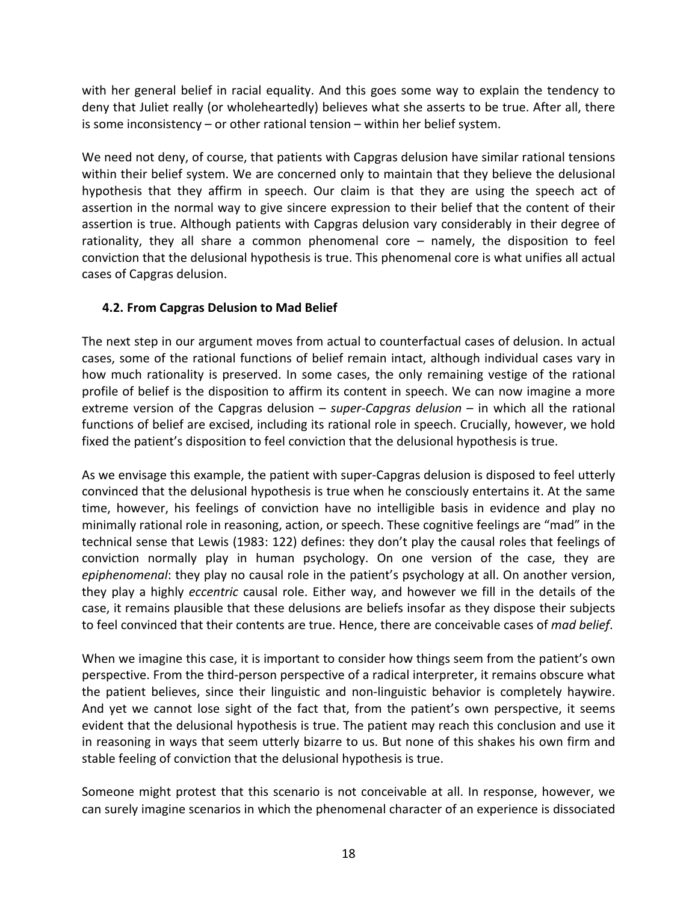with her general belief in racial equality. And this goes some way to explain the tendency to deny that Juliet really (or wholeheartedly) believes what she asserts to be true. After all, there is some inconsistency – or other rational tension – within her belief system.

We need not deny, of course, that patients with Capgras delusion have similar rational tensions within their belief system. We are concerned only to maintain that they believe the delusional hypothesis that they affirm in speech. Our claim is that they are using the speech act of assertion in the normal way to give sincere expression to their belief that the content of their assertion is true. Although patients with Capgras delusion vary considerably in their degree of rationality, they all share a common phenomenal core – namely, the disposition to feel conviction that the delusional hypothesis is true. This phenomenal core is what unifies all actual cases of Capgras delusion.

# **4.2. From Capgras Delusion to Mad Belief**

The next step in our argument moves from actual to counterfactual cases of delusion. In actual cases, some of the rational functions of belief remain intact, although individual cases vary in how much rationality is preserved. In some cases, the only remaining vestige of the rational profile of belief is the disposition to affirm its content in speech. We can now imagine a more extreme version of the Capgras delusion – *super-Capgras delusion* – in which all the rational functions of belief are excised, including its rational role in speech. Crucially, however, we hold fixed the patient's disposition to feel conviction that the delusional hypothesis is true.

As we envisage this example, the patient with super-Capgras delusion is disposed to feel utterly convinced that the delusional hypothesis is true when he consciously entertains it. At the same time, however, his feelings of conviction have no intelligible basis in evidence and play no minimally rational role in reasoning, action, or speech. These cognitive feelings are "mad" in the technical sense that Lewis (1983: 122) defines: they don't play the causal roles that feelings of conviction normally play in human psychology. On one version of the case, they are *epiphenomenal*: they play no causal role in the patient's psychology at all. On another version, they play a highly *eccentric* causal role. Either way, and however we fill in the details of the case, it remains plausible that these delusions are beliefs insofar as they dispose their subjects to feel convinced that their contents are true. Hence, there are conceivable cases of *mad belief*.

When we imagine this case, it is important to consider how things seem from the patient's own perspective. From the third-person perspective of a radical interpreter, it remains obscure what the patient believes, since their linguistic and non-linguistic behavior is completely haywire. And yet we cannot lose sight of the fact that, from the patient's own perspective, it seems evident that the delusional hypothesis is true. The patient may reach this conclusion and use it in reasoning in ways that seem utterly bizarre to us. But none of this shakes his own firm and stable feeling of conviction that the delusional hypothesis is true.

Someone might protest that this scenario is not conceivable at all. In response, however, we can surely imagine scenarios in which the phenomenal character of an experience is dissociated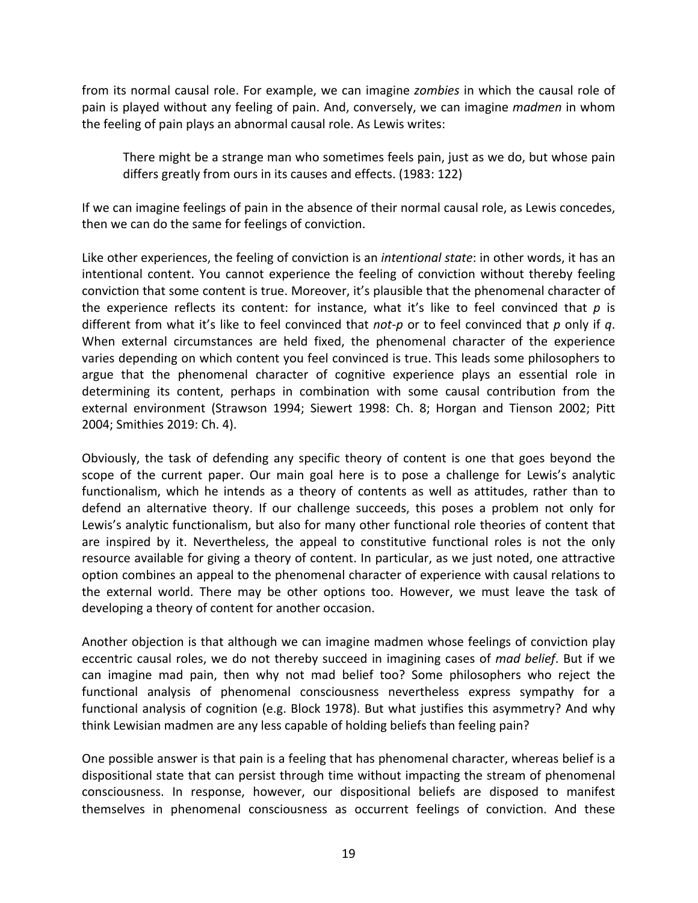from its normal causal role. For example, we can imagine *zombies* in which the causal role of pain is played without any feeling of pain. And, conversely, we can imagine *madmen* in whom the feeling of pain plays an abnormal causal role. As Lewis writes:

There might be a strange man who sometimes feels pain, just as we do, but whose pain differs greatly from ours in its causes and effects. (1983: 122)

If we can imagine feelings of pain in the absence of their normal causal role, as Lewis concedes, then we can do the same for feelings of conviction.

Like other experiences, the feeling of conviction is an *intentional state*: in other words, it has an intentional content. You cannot experience the feeling of conviction without thereby feeling conviction that some content is true. Moreover, it's plausible that the phenomenal character of the experience reflects its content: for instance, what it's like to feel convinced that *p* is different from what it's like to feel convinced that *not-p* or to feel convinced that *p* only if *q*. When external circumstances are held fixed, the phenomenal character of the experience varies depending on which content you feel convinced is true. This leads some philosophers to argue that the phenomenal character of cognitive experience plays an essential role in determining its content, perhaps in combination with some causal contribution from the external environment (Strawson 1994; Siewert 1998: Ch. 8; Horgan and Tienson 2002; Pitt 2004; Smithies 2019: Ch. 4).

Obviously, the task of defending any specific theory of content is one that goes beyond the scope of the current paper. Our main goal here is to pose a challenge for Lewis's analytic functionalism, which he intends as a theory of contents as well as attitudes, rather than to defend an alternative theory. If our challenge succeeds, this poses a problem not only for Lewis's analytic functionalism, but also for many other functional role theories of content that are inspired by it. Nevertheless, the appeal to constitutive functional roles is not the only resource available for giving a theory of content. In particular, as we just noted, one attractive option combines an appeal to the phenomenal character of experience with causal relations to the external world. There may be other options too. However, we must leave the task of developing a theory of content for another occasion.

Another objection is that although we can imagine madmen whose feelings of conviction play eccentric causal roles, we do not thereby succeed in imagining cases of *mad belief*. But if we can imagine mad pain, then why not mad belief too? Some philosophers who reject the functional analysis of phenomenal consciousness nevertheless express sympathy for a functional analysis of cognition (e.g. Block 1978). But what justifies this asymmetry? And why think Lewisian madmen are any less capable of holding beliefs than feeling pain?

One possible answer is that pain is a feeling that has phenomenal character, whereas belief is a dispositional state that can persist through time without impacting the stream of phenomenal consciousness. In response, however, our dispositional beliefs are disposed to manifest themselves in phenomenal consciousness as occurrent feelings of conviction. And these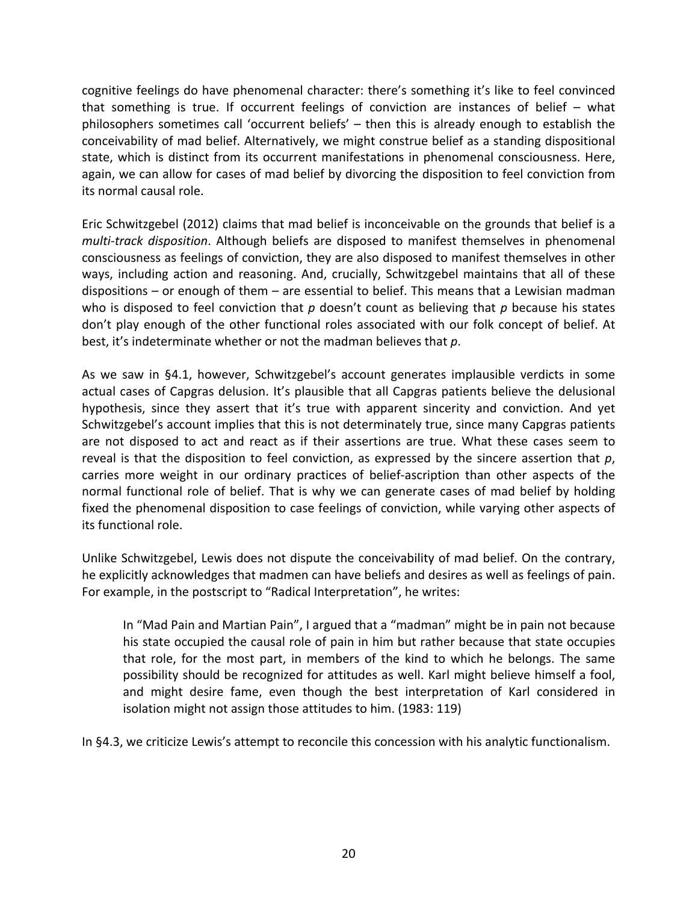cognitive feelings do have phenomenal character: there's something it's like to feel convinced that something is true. If occurrent feelings of conviction are instances of belief – what philosophers sometimes call 'occurrent beliefs' – then this is already enough to establish the conceivability of mad belief. Alternatively, we might construe belief as a standing dispositional state, which is distinct from its occurrent manifestations in phenomenal consciousness. Here, again, we can allow for cases of mad belief by divorcing the disposition to feel conviction from its normal causal role.

Eric Schwitzgebel (2012) claims that mad belief is inconceivable on the grounds that belief is a *multi-track disposition*. Although beliefs are disposed to manifest themselves in phenomenal consciousness as feelings of conviction, they are also disposed to manifest themselves in other ways, including action and reasoning. And, crucially, Schwitzgebel maintains that all of these dispositions – or enough of them – are essential to belief. This means that a Lewisian madman who is disposed to feel conviction that *p* doesn't count as believing that *p* because his states don't play enough of the other functional roles associated with our folk concept of belief. At best, it's indeterminate whether or not the madman believes that *p*.

As we saw in §4.1, however, Schwitzgebel's account generates implausible verdicts in some actual cases of Capgras delusion. It's plausible that all Capgras patients believe the delusional hypothesis, since they assert that it's true with apparent sincerity and conviction. And yet Schwitzgebel's account implies that this is not determinately true, since many Capgras patients are not disposed to act and react as if their assertions are true. What these cases seem to reveal is that the disposition to feel conviction, as expressed by the sincere assertion that *p*, carries more weight in our ordinary practices of belief-ascription than other aspects of the normal functional role of belief. That is why we can generate cases of mad belief by holding fixed the phenomenal disposition to case feelings of conviction, while varying other aspects of its functional role.

Unlike Schwitzgebel, Lewis does not dispute the conceivability of mad belief. On the contrary, he explicitly acknowledges that madmen can have beliefs and desires as well as feelings of pain. For example, in the postscript to "Radical Interpretation", he writes:

In "Mad Pain and Martian Pain", I argued that a "madman" might be in pain not because his state occupied the causal role of pain in him but rather because that state occupies that role, for the most part, in members of the kind to which he belongs. The same possibility should be recognized for attitudes as well. Karl might believe himself a fool, and might desire fame, even though the best interpretation of Karl considered in isolation might not assign those attitudes to him. (1983: 119)

In §4.3, we criticize Lewis's attempt to reconcile this concession with his analytic functionalism.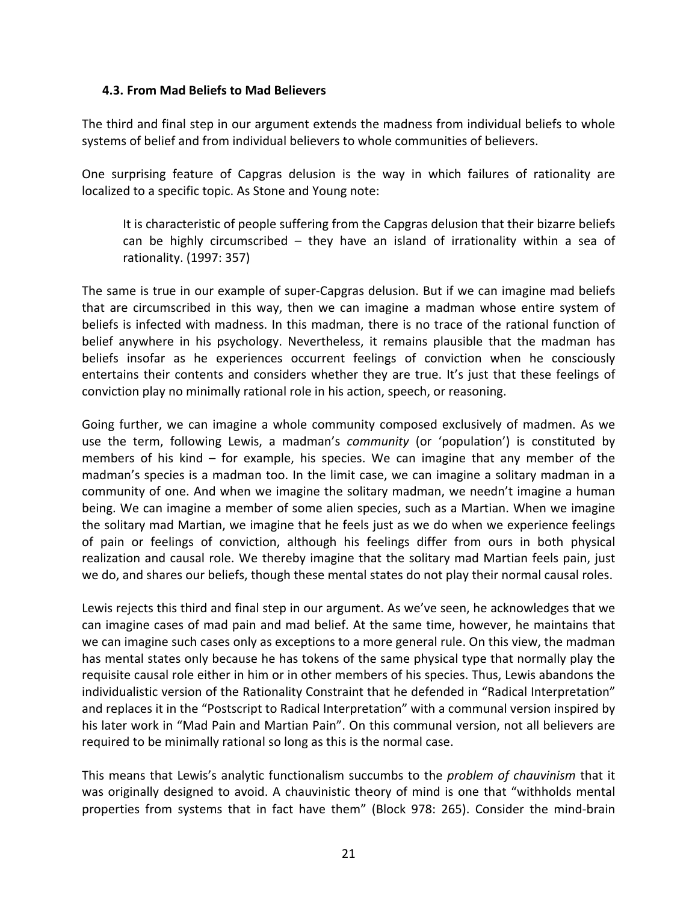#### **4.3. From Mad Beliefs to Mad Believers**

The third and final step in our argument extends the madness from individual beliefs to whole systems of belief and from individual believers to whole communities of believers.

One surprising feature of Capgras delusion is the way in which failures of rationality are localized to a specific topic. As Stone and Young note:

It is characteristic of people suffering from the Capgras delusion that their bizarre beliefs can be highly circumscribed – they have an island of irrationality within a sea of rationality. (1997: 357)

The same is true in our example of super-Capgras delusion. But if we can imagine mad beliefs that are circumscribed in this way, then we can imagine a madman whose entire system of beliefs is infected with madness. In this madman, there is no trace of the rational function of belief anywhere in his psychology. Nevertheless, it remains plausible that the madman has beliefs insofar as he experiences occurrent feelings of conviction when he consciously entertains their contents and considers whether they are true. It's just that these feelings of conviction play no minimally rational role in his action, speech, or reasoning.

Going further, we can imagine a whole community composed exclusively of madmen. As we use the term, following Lewis, a madman's *community* (or 'population') is constituted by members of his kind – for example, his species. We can imagine that any member of the madman's species is a madman too. In the limit case, we can imagine a solitary madman in a community of one. And when we imagine the solitary madman, we needn't imagine a human being. We can imagine a member of some alien species, such as a Martian. When we imagine the solitary mad Martian, we imagine that he feels just as we do when we experience feelings of pain or feelings of conviction, although his feelings differ from ours in both physical realization and causal role. We thereby imagine that the solitary mad Martian feels pain, just we do, and shares our beliefs, though these mental states do not play their normal causal roles.

Lewis rejects this third and final step in our argument. As we've seen, he acknowledges that we can imagine cases of mad pain and mad belief. At the same time, however, he maintains that we can imagine such cases only as exceptions to a more general rule. On this view, the madman has mental states only because he has tokens of the same physical type that normally play the requisite causal role either in him or in other members of his species. Thus, Lewis abandons the individualistic version of the Rationality Constraint that he defended in "Radical Interpretation" and replaces it in the "Postscript to Radical Interpretation" with a communal version inspired by his later work in "Mad Pain and Martian Pain". On this communal version, not all believers are required to be minimally rational so long as this is the normal case.

This means that Lewis's analytic functionalism succumbs to the *problem of chauvinism* that it was originally designed to avoid. A chauvinistic theory of mind is one that "withholds mental properties from systems that in fact have them" (Block 978: 265). Consider the mind-brain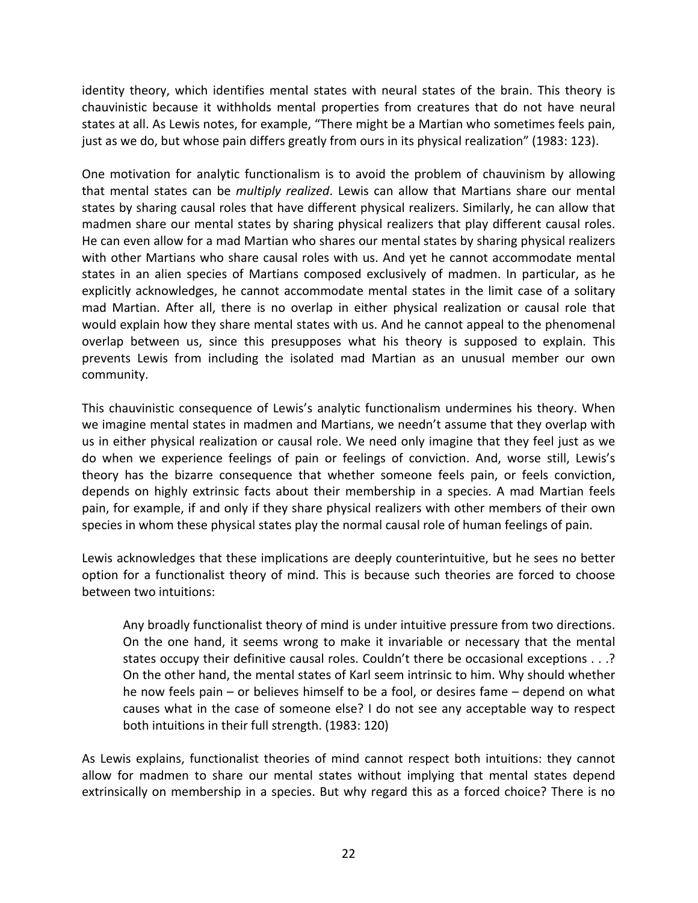identity theory, which identifies mental states with neural states of the brain. This theory is chauvinistic because it withholds mental properties from creatures that do not have neural states at all. As Lewis notes, for example, "There might be a Martian who sometimes feels pain, just as we do, but whose pain differs greatly from ours in its physical realization" (1983: 123).

One motivation for analytic functionalism is to avoid the problem of chauvinism by allowing that mental states can be *multiply realized*. Lewis can allow that Martians share our mental states by sharing causal roles that have different physical realizers. Similarly, he can allow that madmen share our mental states by sharing physical realizers that play different causal roles. He can even allow for a mad Martian who shares our mental states by sharing physical realizers with other Martians who share causal roles with us. And yet he cannot accommodate mental states in an alien species of Martians composed exclusively of madmen. In particular, as he explicitly acknowledges, he cannot accommodate mental states in the limit case of a solitary mad Martian. After all, there is no overlap in either physical realization or causal role that would explain how they share mental states with us. And he cannot appeal to the phenomenal overlap between us, since this presupposes what his theory is supposed to explain. This prevents Lewis from including the isolated mad Martian as an unusual member our own community.

This chauvinistic consequence of Lewis's analytic functionalism undermines his theory. When we imagine mental states in madmen and Martians, we needn't assume that they overlap with us in either physical realization or causal role. We need only imagine that they feel just as we do when we experience feelings of pain or feelings of conviction. And, worse still, Lewis's theory has the bizarre consequence that whether someone feels pain, or feels conviction, depends on highly extrinsic facts about their membership in a species. A mad Martian feels pain, for example, if and only if they share physical realizers with other members of their own species in whom these physical states play the normal causal role of human feelings of pain.

Lewis acknowledges that these implications are deeply counterintuitive, but he sees no better option for a functionalist theory of mind. This is because such theories are forced to choose between two intuitions:

Any broadly functionalist theory of mind is under intuitive pressure from two directions. On the one hand, it seems wrong to make it invariable or necessary that the mental states occupy their definitive causal roles. Couldn't there be occasional exceptions . . .? On the other hand, the mental states of Karl seem intrinsic to him. Why should whether he now feels pain – or believes himself to be a fool, or desires fame – depend on what causes what in the case of someone else? I do not see any acceptable way to respect both intuitions in their full strength. (1983: 120)

As Lewis explains, functionalist theories of mind cannot respect both intuitions: they cannot allow for madmen to share our mental states without implying that mental states depend extrinsically on membership in a species. But why regard this as a forced choice? There is no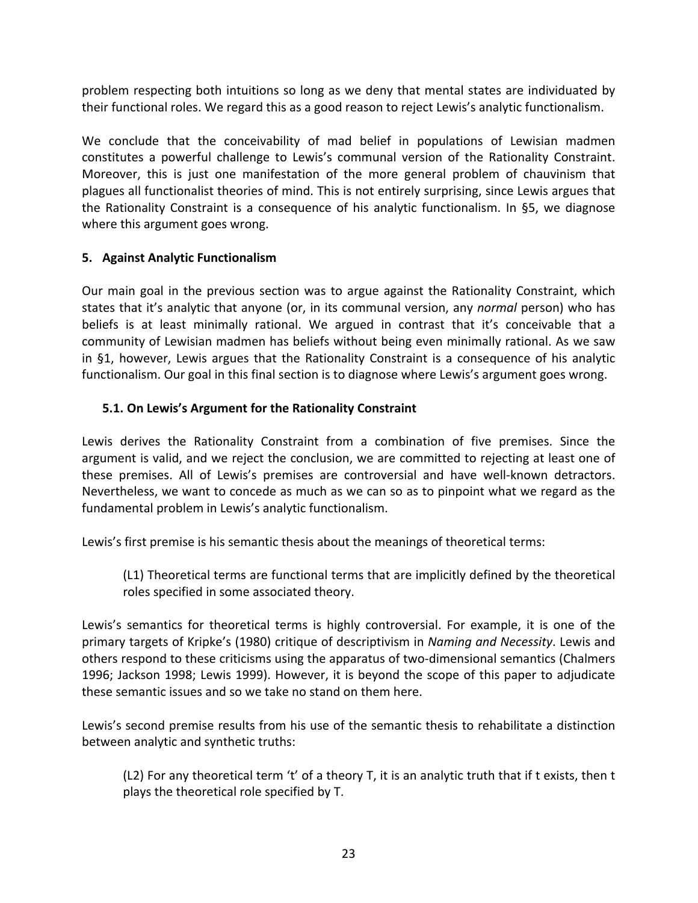problem respecting both intuitions so long as we deny that mental states are individuated by their functional roles. We regard this as a good reason to reject Lewis's analytic functionalism.

We conclude that the conceivability of mad belief in populations of Lewisian madmen constitutes a powerful challenge to Lewis's communal version of the Rationality Constraint. Moreover, this is just one manifestation of the more general problem of chauvinism that plagues all functionalist theories of mind. This is not entirely surprising, since Lewis argues that the Rationality Constraint is a consequence of his analytic functionalism. In §5, we diagnose where this argument goes wrong.

# **5. Against Analytic Functionalism**

Our main goal in the previous section was to argue against the Rationality Constraint, which states that it's analytic that anyone (or, in its communal version, any *normal* person) who has beliefs is at least minimally rational. We argued in contrast that it's conceivable that a community of Lewisian madmen has beliefs without being even minimally rational. As we saw in §1, however, Lewis argues that the Rationality Constraint is a consequence of his analytic functionalism. Our goal in this final section is to diagnose where Lewis's argument goes wrong.

# **5.1. On Lewis's Argument for the Rationality Constraint**

Lewis derives the Rationality Constraint from a combination of five premises. Since the argument is valid, and we reject the conclusion, we are committed to rejecting at least one of these premises. All of Lewis's premises are controversial and have well-known detractors. Nevertheless, we want to concede as much as we can so as to pinpoint what we regard as the fundamental problem in Lewis's analytic functionalism.

Lewis's first premise is his semantic thesis about the meanings of theoretical terms:

(L1) Theoretical terms are functional terms that are implicitly defined by the theoretical roles specified in some associated theory.

Lewis's semantics for theoretical terms is highly controversial. For example, it is one of the primary targets of Kripke's (1980) critique of descriptivism in *Naming and Necessity*. Lewis and others respond to these criticisms using the apparatus of two-dimensional semantics (Chalmers 1996; Jackson 1998; Lewis 1999). However, it is beyond the scope of this paper to adjudicate these semantic issues and so we take no stand on them here.

Lewis's second premise results from his use of the semantic thesis to rehabilitate a distinction between analytic and synthetic truths:

(L2) For any theoretical term 't' of a theory T, it is an analytic truth that if t exists, then t plays the theoretical role specified by T.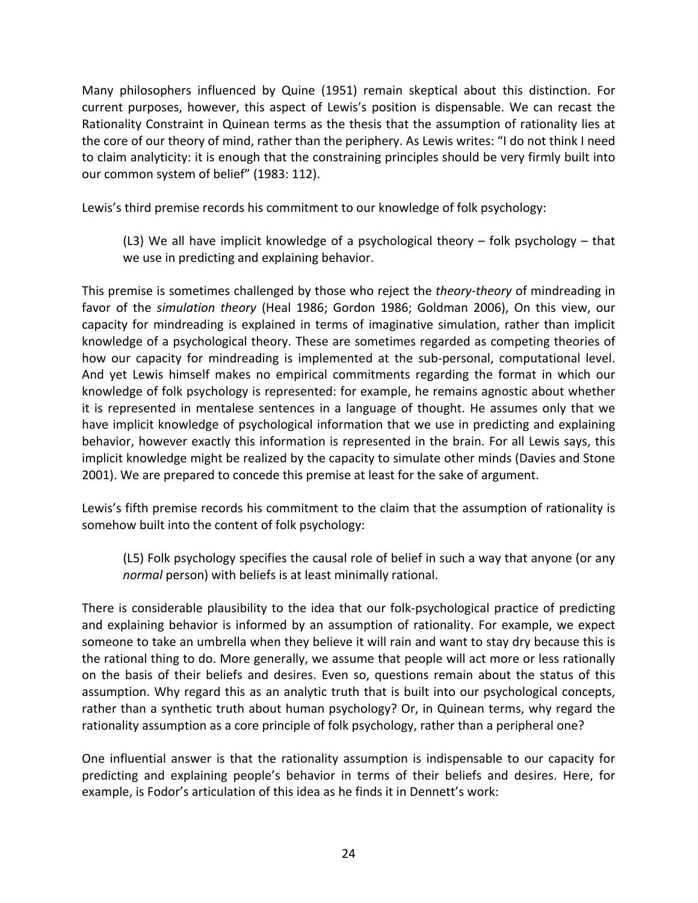Many philosophers influenced by Quine (1951) remain skeptical about this distinction. For current purposes, however, this aspect of Lewis's position is dispensable. We can recast the Rationality Constraint in Quinean terms as the thesis that the assumption of rationality lies at the core of our theory of mind, rather than the periphery. As Lewis writes: "I do not think I need to claim analyticity: it is enough that the constraining principles should be very firmly built into our common system of belief" (1983: 112).

Lewis's third premise records his commitment to our knowledge of folk psychology:

(L3) We all have implicit knowledge of a psychological theory – folk psychology – that we use in predicting and explaining behavior.

This premise is sometimes challenged by those who reject the *theory-theory* of mindreading in favor of the *simulation theory* (Heal 1986; Gordon 1986; Goldman 2006), On this view, our capacity for mindreading is explained in terms of imaginative simulation, rather than implicit knowledge of a psychological theory. These are sometimes regarded as competing theories of how our capacity for mindreading is implemented at the sub-personal, computational level. And yet Lewis himself makes no empirical commitments regarding the format in which our knowledge of folk psychology is represented: for example, he remains agnostic about whether it is represented in mentalese sentences in a language of thought. He assumes only that we have implicit knowledge of psychological information that we use in predicting and explaining behavior, however exactly this information is represented in the brain. For all Lewis says, this implicit knowledge might be realized by the capacity to simulate other minds (Davies and Stone 2001). We are prepared to concede this premise at least for the sake of argument.

Lewis's fifth premise records his commitment to the claim that the assumption of rationality is somehow built into the content of folk psychology:

(L5) Folk psychology specifies the causal role of belief in such a way that anyone (or any *normal* person) with beliefs is at least minimally rational.

There is considerable plausibility to the idea that our folk-psychological practice of predicting and explaining behavior is informed by an assumption of rationality. For example, we expect someone to take an umbrella when they believe it will rain and want to stay dry because this is the rational thing to do. More generally, we assume that people will act more or less rationally on the basis of their beliefs and desires. Even so, questions remain about the status of this assumption. Why regard this as an analytic truth that is built into our psychological concepts, rather than a synthetic truth about human psychology? Or, in Quinean terms, why regard the rationality assumption as a core principle of folk psychology, rather than a peripheral one?

One influential answer is that the rationality assumption is indispensable to our capacity for predicting and explaining people's behavior in terms of their beliefs and desires. Here, for example, is Fodor's articulation of this idea as he finds it in Dennett's work: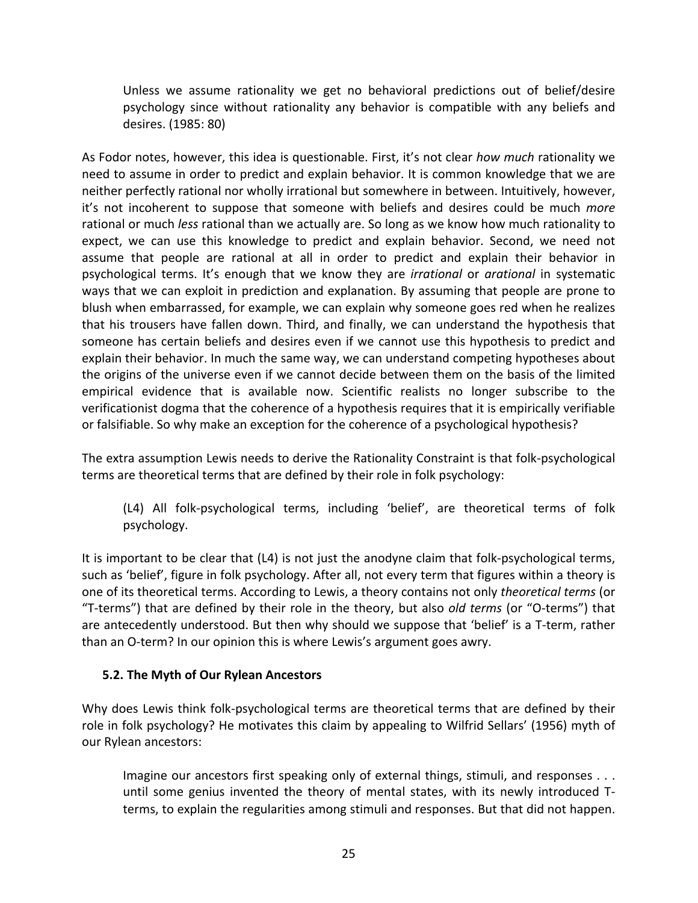Unless we assume rationality we get no behavioral predictions out of belief/desire psychology since without rationality any behavior is compatible with any beliefs and desires. (1985: 80)

As Fodor notes, however, this idea is questionable. First, it's not clear *how much* rationality we need to assume in order to predict and explain behavior. It is common knowledge that we are neither perfectly rational nor wholly irrational but somewhere in between. Intuitively, however, it's not incoherent to suppose that someone with beliefs and desires could be much *more* rational or much *less* rational than we actually are. So long as we know how much rationality to expect, we can use this knowledge to predict and explain behavior. Second, we need not assume that people are rational at all in order to predict and explain their behavior in psychological terms. It's enough that we know they are *irrational* or *arational* in systematic ways that we can exploit in prediction and explanation. By assuming that people are prone to blush when embarrassed, for example, we can explain why someone goes red when he realizes that his trousers have fallen down. Third, and finally, we can understand the hypothesis that someone has certain beliefs and desires even if we cannot use this hypothesis to predict and explain their behavior. In much the same way, we can understand competing hypotheses about the origins of the universe even if we cannot decide between them on the basis of the limited empirical evidence that is available now. Scientific realists no longer subscribe to the verificationist dogma that the coherence of a hypothesis requires that it is empirically verifiable or falsifiable. So why make an exception for the coherence of a psychological hypothesis?

The extra assumption Lewis needs to derive the Rationality Constraint is that folk-psychological terms are theoretical terms that are defined by their role in folk psychology:

(L4) All folk-psychological terms, including 'belief', are theoretical terms of folk psychology.

It is important to be clear that (L4) is not just the anodyne claim that folk-psychological terms, such as 'belief', figure in folk psychology. After all, not every term that figures within a theory is one of its theoretical terms. According to Lewis, a theory contains not only *theoretical terms* (or "T-terms") that are defined by their role in the theory, but also *old terms* (or "O-terms") that are antecedently understood. But then why should we suppose that 'belief' is a T-term, rather than an O-term? In our opinion this is where Lewis's argument goes awry.

# **5.2. The Myth of Our Rylean Ancestors**

Why does Lewis think folk-psychological terms are theoretical terms that are defined by their role in folk psychology? He motivates this claim by appealing to Wilfrid Sellars' (1956) myth of our Rylean ancestors:

Imagine our ancestors first speaking only of external things, stimuli, and responses . . . until some genius invented the theory of mental states, with its newly introduced Tterms, to explain the regularities among stimuli and responses. But that did not happen.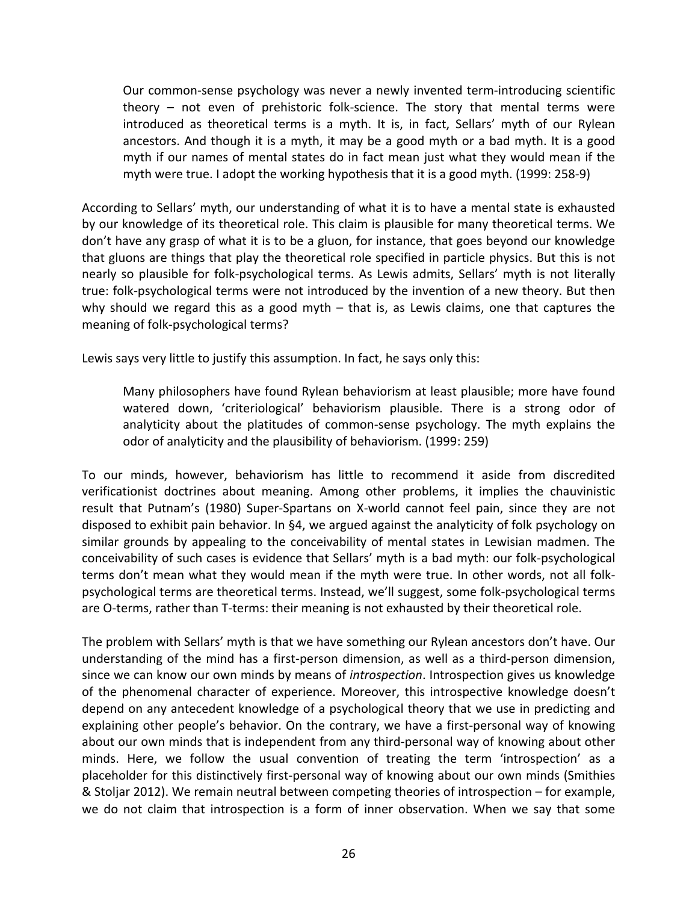Our common-sense psychology was never a newly invented term-introducing scientific theory – not even of prehistoric folk-science. The story that mental terms were introduced as theoretical terms is a myth. It is, in fact, Sellars' myth of our Rylean ancestors. And though it is a myth, it may be a good myth or a bad myth. It is a good myth if our names of mental states do in fact mean just what they would mean if the myth were true. I adopt the working hypothesis that it is a good myth. (1999: 258-9)

According to Sellars' myth, our understanding of what it is to have a mental state is exhausted by our knowledge of its theoretical role. This claim is plausible for many theoretical terms. We don't have any grasp of what it is to be a gluon, for instance, that goes beyond our knowledge that gluons are things that play the theoretical role specified in particle physics. But this is not nearly so plausible for folk-psychological terms. As Lewis admits, Sellars' myth is not literally true: folk-psychological terms were not introduced by the invention of a new theory. But then why should we regard this as a good myth – that is, as Lewis claims, one that captures the meaning of folk-psychological terms?

Lewis says very little to justify this assumption. In fact, he says only this:

Many philosophers have found Rylean behaviorism at least plausible; more have found watered down, 'criteriological' behaviorism plausible. There is a strong odor of analyticity about the platitudes of common-sense psychology. The myth explains the odor of analyticity and the plausibility of behaviorism. (1999: 259)

To our minds, however, behaviorism has little to recommend it aside from discredited verificationist doctrines about meaning. Among other problems, it implies the chauvinistic result that Putnam's (1980) Super-Spartans on X-world cannot feel pain, since they are not disposed to exhibit pain behavior. In §4, we argued against the analyticity of folk psychology on similar grounds by appealing to the conceivability of mental states in Lewisian madmen. The conceivability of such cases is evidence that Sellars' myth is a bad myth: our folk-psychological terms don't mean what they would mean if the myth were true. In other words, not all folkpsychological terms are theoretical terms. Instead, we'll suggest, some folk-psychological terms are O-terms, rather than T-terms: their meaning is not exhausted by their theoretical role.

The problem with Sellars' myth is that we have something our Rylean ancestors don't have. Our understanding of the mind has a first-person dimension, as well as a third-person dimension, since we can know our own minds by means of *introspection*. Introspection gives us knowledge of the phenomenal character of experience. Moreover, this introspective knowledge doesn't depend on any antecedent knowledge of a psychological theory that we use in predicting and explaining other people's behavior. On the contrary, we have a first-personal way of knowing about our own minds that is independent from any third-personal way of knowing about other minds. Here, we follow the usual convention of treating the term 'introspection' as a placeholder for this distinctively first-personal way of knowing about our own minds (Smithies & Stoljar 2012). We remain neutral between competing theories of introspection – for example, we do not claim that introspection is a form of inner observation. When we say that some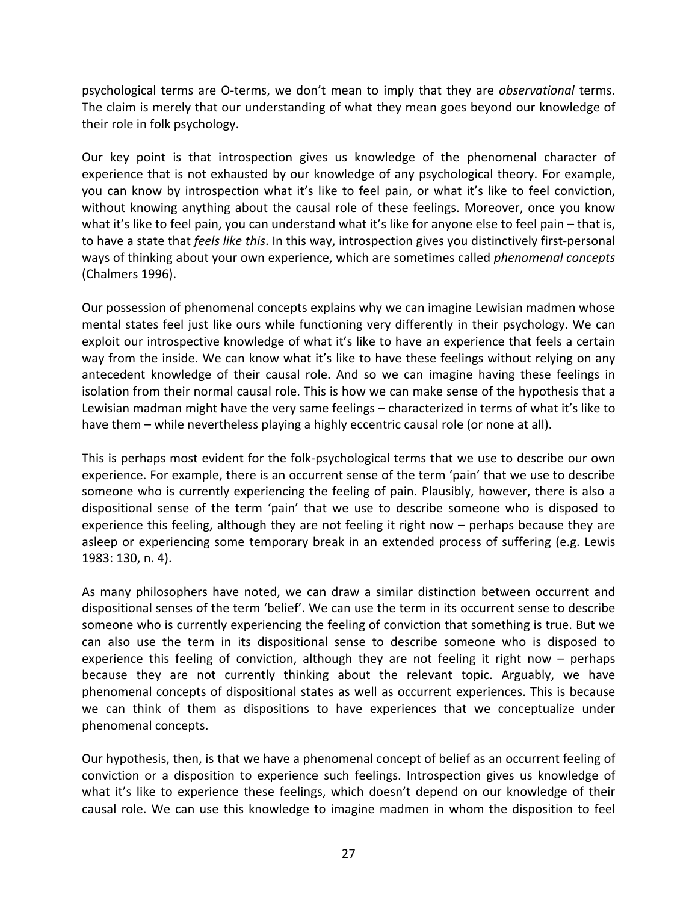psychological terms are O-terms, we don't mean to imply that they are *observational* terms. The claim is merely that our understanding of what they mean goes beyond our knowledge of their role in folk psychology.

Our key point is that introspection gives us knowledge of the phenomenal character of experience that is not exhausted by our knowledge of any psychological theory. For example, you can know by introspection what it's like to feel pain, or what it's like to feel conviction, without knowing anything about the causal role of these feelings. Moreover, once you know what it's like to feel pain, you can understand what it's like for anyone else to feel pain – that is, to have a state that *feels like this*. In this way, introspection gives you distinctively first-personal ways of thinking about your own experience, which are sometimes called *phenomenal concepts* (Chalmers 1996).

Our possession of phenomenal concepts explains why we can imagine Lewisian madmen whose mental states feel just like ours while functioning very differently in their psychology. We can exploit our introspective knowledge of what it's like to have an experience that feels a certain way from the inside. We can know what it's like to have these feelings without relying on any antecedent knowledge of their causal role. And so we can imagine having these feelings in isolation from their normal causal role. This is how we can make sense of the hypothesis that a Lewisian madman might have the very same feelings – characterized in terms of what it's like to have them – while nevertheless playing a highly eccentric causal role (or none at all).

This is perhaps most evident for the folk-psychological terms that we use to describe our own experience. For example, there is an occurrent sense of the term 'pain' that we use to describe someone who is currently experiencing the feeling of pain. Plausibly, however, there is also a dispositional sense of the term 'pain' that we use to describe someone who is disposed to experience this feeling, although they are not feeling it right now – perhaps because they are asleep or experiencing some temporary break in an extended process of suffering (e.g. Lewis 1983: 130, n. 4).

As many philosophers have noted, we can draw a similar distinction between occurrent and dispositional senses of the term 'belief'. We can use the term in its occurrent sense to describe someone who is currently experiencing the feeling of conviction that something is true. But we can also use the term in its dispositional sense to describe someone who is disposed to experience this feeling of conviction, although they are not feeling it right now – perhaps because they are not currently thinking about the relevant topic. Arguably, we have phenomenal concepts of dispositional states as well as occurrent experiences. This is because we can think of them as dispositions to have experiences that we conceptualize under phenomenal concepts.

Our hypothesis, then, is that we have a phenomenal concept of belief as an occurrent feeling of conviction or a disposition to experience such feelings. Introspection gives us knowledge of what it's like to experience these feelings, which doesn't depend on our knowledge of their causal role. We can use this knowledge to imagine madmen in whom the disposition to feel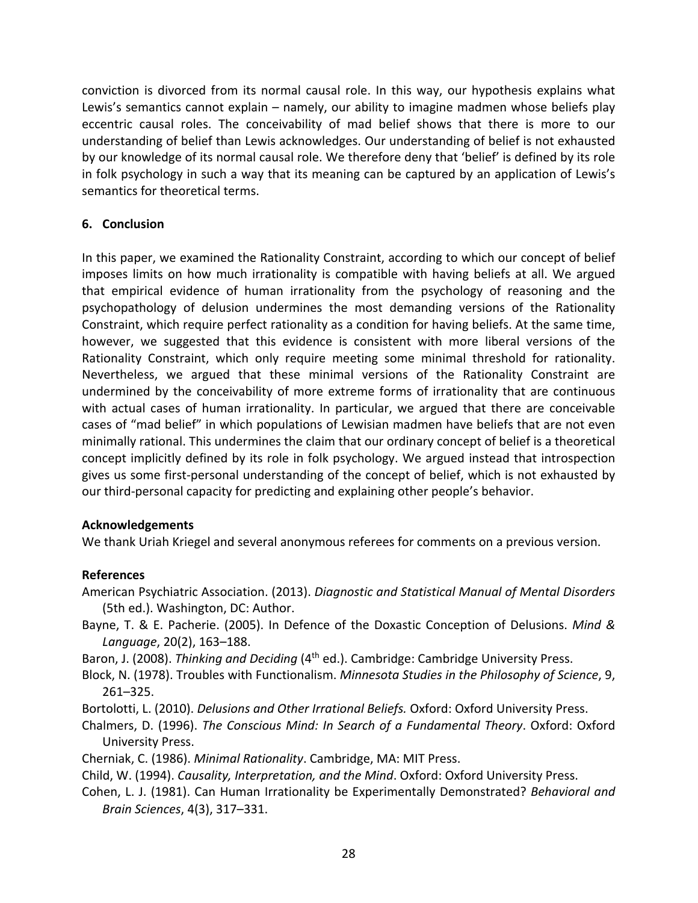conviction is divorced from its normal causal role. In this way, our hypothesis explains what Lewis's semantics cannot explain – namely, our ability to imagine madmen whose beliefs play eccentric causal roles. The conceivability of mad belief shows that there is more to our understanding of belief than Lewis acknowledges. Our understanding of belief is not exhausted by our knowledge of its normal causal role. We therefore deny that 'belief' is defined by its role in folk psychology in such a way that its meaning can be captured by an application of Lewis's semantics for theoretical terms.

### **6. Conclusion**

In this paper, we examined the Rationality Constraint, according to which our concept of belief imposes limits on how much irrationality is compatible with having beliefs at all. We argued that empirical evidence of human irrationality from the psychology of reasoning and the psychopathology of delusion undermines the most demanding versions of the Rationality Constraint, which require perfect rationality as a condition for having beliefs. At the same time, however, we suggested that this evidence is consistent with more liberal versions of the Rationality Constraint, which only require meeting some minimal threshold for rationality. Nevertheless, we argued that these minimal versions of the Rationality Constraint are undermined by the conceivability of more extreme forms of irrationality that are continuous with actual cases of human irrationality. In particular, we argued that there are conceivable cases of "mad belief" in which populations of Lewisian madmen have beliefs that are not even minimally rational. This undermines the claim that our ordinary concept of belief is a theoretical concept implicitly defined by its role in folk psychology. We argued instead that introspection gives us some first-personal understanding of the concept of belief, which is not exhausted by our third-personal capacity for predicting and explaining other people's behavior.

#### **Acknowledgements**

We thank Uriah Kriegel and several anonymous referees for comments on a previous version.

#### **References**

- American Psychiatric Association. (2013). *Diagnostic and Statistical Manual of Mental Disorders*  (5th ed.). Washington, DC: Author.
- Bayne, T. & E. Pacherie. (2005). In Defence of the Doxastic Conception of Delusions. *Mind & Language*, 20(2), 163–188.
- Baron, J. (2008). *Thinking and Deciding* (4th ed.). Cambridge: Cambridge University Press.
- Block, N. (1978). Troubles with Functionalism. *Minnesota Studies in the Philosophy of Science*, 9, 261–325.
- Bortolotti, L. (2010). *Delusions and Other Irrational Beliefs.* Oxford: Oxford University Press.
- Chalmers, D. (1996). *The Conscious Mind: In Search of a Fundamental Theory*. Oxford: Oxford University Press.
- Cherniak, C. (1986). *Minimal Rationality*. Cambridge, MA: MIT Press.

Child, W. (1994). *Causality, Interpretation, and the Mind*. Oxford: Oxford University Press.

Cohen, L. J. (1981). Can Human Irrationality be Experimentally Demonstrated? *Behavioral and Brain Sciences*, 4(3), 317–331.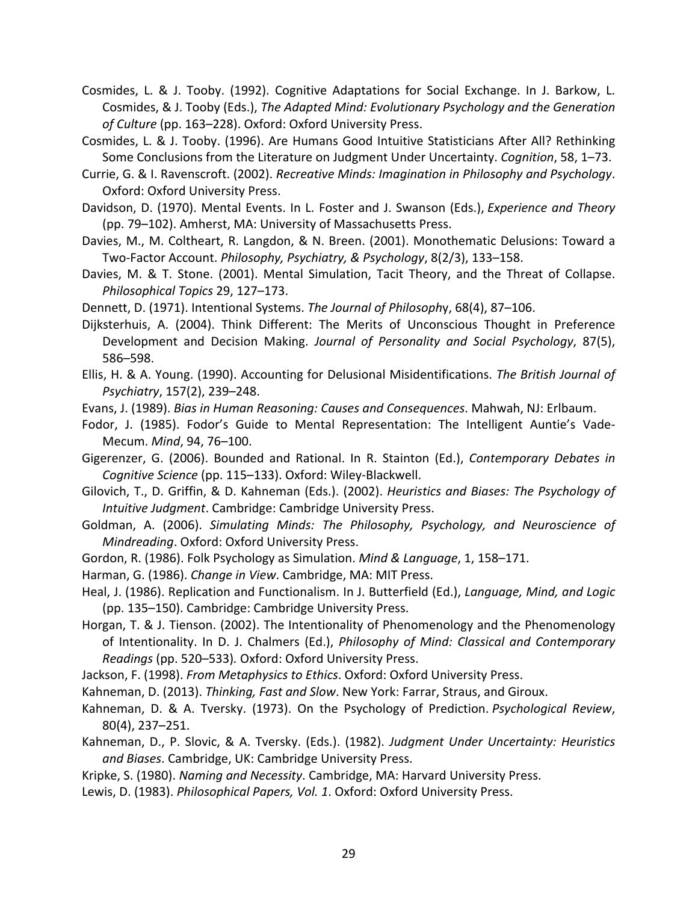- Cosmides, L. & J. Tooby. (1992). Cognitive Adaptations for Social Exchange. In J. Barkow, L. Cosmides, & J. Tooby (Eds.), *The Adapted Mind: Evolutionary Psychology and the Generation of Culture* (pp. 163–228). Oxford: Oxford University Press.
- Cosmides, L. & J. Tooby. (1996). Are Humans Good Intuitive Statisticians After All? Rethinking Some Conclusions from the Literature on Judgment Under Uncertainty. *Cognition*, 58, 1–73.
- Currie, G. & I. Ravenscroft. (2002). *Recreative Minds: Imagination in Philosophy and Psychology*. Oxford: Oxford University Press.
- Davidson, D. (1970). Mental Events. In L. Foster and J. Swanson (Eds.), *Experience and Theory* (pp. 79–102). Amherst, MA: University of Massachusetts Press.
- Davies, M., M. Coltheart, R. Langdon, & N. Breen. (2001). Monothematic Delusions: Toward a Two-Factor Account. *Philosophy, Psychiatry, & Psychology*, 8(2/3), 133–158.
- Davies, M. & T. Stone. (2001). Mental Simulation, Tacit Theory, and the Threat of Collapse. *Philosophical Topics* 29, 127–173.
- Dennett, D. (1971). Intentional Systems. *The Journal of Philosoph*y, 68(4), 87–106.

Dijksterhuis, A. (2004). Think Different: The Merits of Unconscious Thought in Preference Development and Decision Making. *Journal of Personality and Social Psychology*, 87(5), 586–598.

- Ellis, H. & A. Young. (1990). Accounting for Delusional Misidentifications. *The British Journal of Psychiatry*, 157(2), 239–248.
- Evans, J. (1989). *Bias in Human Reasoning: Causes and Consequences*. Mahwah, NJ: Erlbaum.
- Fodor, J. (1985). Fodor's Guide to Mental Representation: The Intelligent Auntie's Vade-Mecum. *Mind*, 94, 76–100.

Gigerenzer, G. (2006). Bounded and Rational. In R. Stainton (Ed.), *Contemporary Debates in Cognitive Science* (pp. 115–133). Oxford: Wiley-Blackwell.

- Gilovich, T., D. Griffin, & D. Kahneman (Eds.). (2002). *Heuristics and Biases: The Psychology of Intuitive Judgment*. Cambridge: Cambridge University Press.
- Goldman, A. (2006). *Simulating Minds: The Philosophy, Psychology, and Neuroscience of Mindreading*. Oxford: Oxford University Press.
- Gordon, R. (1986). Folk Psychology as Simulation. *Mind & Language*, 1, 158–171.
- Harman, G. (1986). *Change in View*. Cambridge, MA: MIT Press.
- Heal, J. (1986). Replication and Functionalism. In J. Butterfield (Ed.), *Language, Mind, and Logic*  (pp. 135–150). Cambridge: Cambridge University Press.
- Horgan, T. & J. Tienson. (2002). The Intentionality of Phenomenology and the Phenomenology of Intentionality. In D. J. Chalmers (Ed.), *Philosophy of Mind: Classical and Contemporary Readings* (pp. 520–533)*.* Oxford: Oxford University Press.
- Jackson, F. (1998). *From Metaphysics to Ethics*. Oxford: Oxford University Press.
- Kahneman, D. (2013). *Thinking, Fast and Slow*. New York: Farrar, Straus, and Giroux.
- Kahneman, D. & A. Tversky. (1973). On the Psychology of Prediction. *Psychological Review*, 80(4), 237–251.
- Kahneman, D., P. Slovic, & A. Tversky. (Eds.). (1982). *Judgment Under Uncertainty: Heuristics and Biases*. Cambridge, UK: Cambridge University Press.
- Kripke, S. (1980). *Naming and Necessity*. Cambridge, MA: Harvard University Press.
- Lewis, D. (1983). *Philosophical Papers, Vol. 1*. Oxford: Oxford University Press.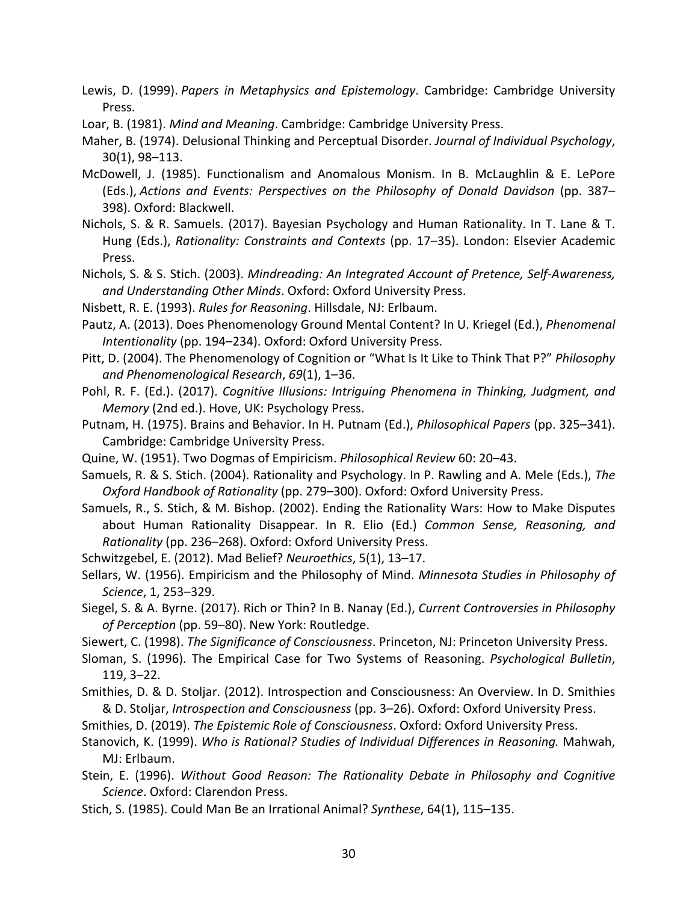- Lewis, D. (1999). *Papers in Metaphysics and Epistemology*. Cambridge: Cambridge University Press.
- Loar, B. (1981). *Mind and Meaning*. Cambridge: Cambridge University Press.
- Maher, B. (1974). Delusional Thinking and Perceptual Disorder. *Journal of Individual Psychology*, 30(1), 98–113.
- McDowell, J. (1985). Functionalism and Anomalous Monism. In B. McLaughlin & E. LePore (Eds.), *Actions and Events: Perspectives on the Philosophy of Donald Davidson* (pp. 387– 398). Oxford: Blackwell.
- Nichols, S. & R. Samuels. (2017). Bayesian Psychology and Human Rationality. In T. Lane & T. Hung (Eds.), *Rationality: Constraints and Contexts* (pp. 17–35). London: Elsevier Academic Press.
- Nichols, S. & S. Stich. (2003). *Mindreading: An Integrated Account of Pretence, Self-Awareness, and Understanding Other Minds*. Oxford: Oxford University Press.
- Nisbett, R. E. (1993). *Rules for Reasoning*. Hillsdale, NJ: Erlbaum.
- Pautz, A. (2013). Does Phenomenology Ground Mental Content? In U. Kriegel (Ed.), *Phenomenal Intentionality* (pp. 194–234). Oxford: Oxford University Press.
- Pitt, D. (2004). The Phenomenology of Cognition or "What Is It Like to Think That P?" *Philosophy and Phenomenological Research*, *69*(1), 1–36.
- Pohl, R. F. (Ed.). (2017). *Cognitive Illusions: Intriguing Phenomena in Thinking, Judgment, and Memory* (2nd ed.). Hove, UK: Psychology Press.
- Putnam, H. (1975). Brains and Behavior. In H. Putnam (Ed.), *Philosophical Papers* (pp. 325–341). Cambridge: Cambridge University Press.
- Quine, W. (1951). Two Dogmas of Empiricism. *Philosophical Review* 60: 20–43.
- Samuels, R. & S. Stich. (2004). Rationality and Psychology. In P. Rawling and A. Mele (Eds.), *The Oxford Handbook of Rationality* (pp. 279–300). Oxford: Oxford University Press.
- Samuels, R., S. Stich, & M. Bishop. (2002). Ending the Rationality Wars: How to Make Disputes about Human Rationality Disappear. In R. Elio (Ed.) *Common Sense, Reasoning, and Rationality* (pp. 236–268). Oxford: Oxford University Press.
- Schwitzgebel, E. (2012). Mad Belief? *Neuroethics*, 5(1), 13–17.
- Sellars, W. (1956). Empiricism and the Philosophy of Mind. *Minnesota Studies in Philosophy of Science*, 1, 253–329.
- Siegel, S. & A. Byrne. (2017). Rich or Thin? In B. Nanay (Ed.), *Current Controversies in Philosophy of Perception* (pp. 59–80). New York: Routledge.
- Siewert, C. (1998). *The Significance of Consciousness*. Princeton, NJ: Princeton University Press.
- Sloman, S. (1996). The Empirical Case for Two Systems of Reasoning. *Psychological Bulletin*, 119, 3–22.
- Smithies, D. & D. Stoljar. (2012). Introspection and Consciousness: An Overview. In D. Smithies & D. Stoljar, *Introspection and Consciousness* (pp. 3–26). Oxford: Oxford University Press.
- Smithies, D. (2019). *The Epistemic Role of Consciousness*. Oxford: Oxford University Press.
- Stanovich, K. (1999). *Who is Rational? Studies of Individual Differences in Reasoning.* Mahwah, MJ: Erlbaum.
- Stein, E. (1996). *Without Good Reason: The Rationality Debate in Philosophy and Cognitive Science*. Oxford: Clarendon Press.
- Stich, S. (1985). Could Man Be an Irrational Animal? *Synthese*, 64(1), 115–135.